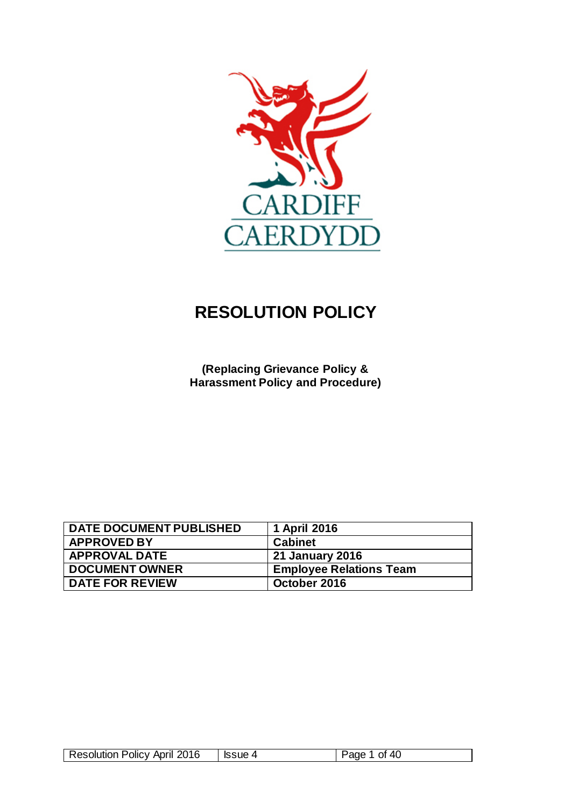

# **RESOLUTION POLICY**

**(Replacing Grievance Policy & Harassment Policy and Procedure)**

| <b>DATE DOCUMENT PUBLISHED</b> | 1 April 2016                   |
|--------------------------------|--------------------------------|
| <b>APPROVED BY</b>             | <b>Cabinet</b>                 |
| <b>APPROVAL DATE</b>           | 21 January 2016                |
| <b>DOCUMENT OWNER</b>          | <b>Employee Relations Team</b> |
| <b>DATE FOR REVIEW</b>         | October 2016                   |

|  | <b>Resolution Policy April 2016</b> |  | 40<br>Ωt<br>- |
|--|-------------------------------------|--|---------------|
|--|-------------------------------------|--|---------------|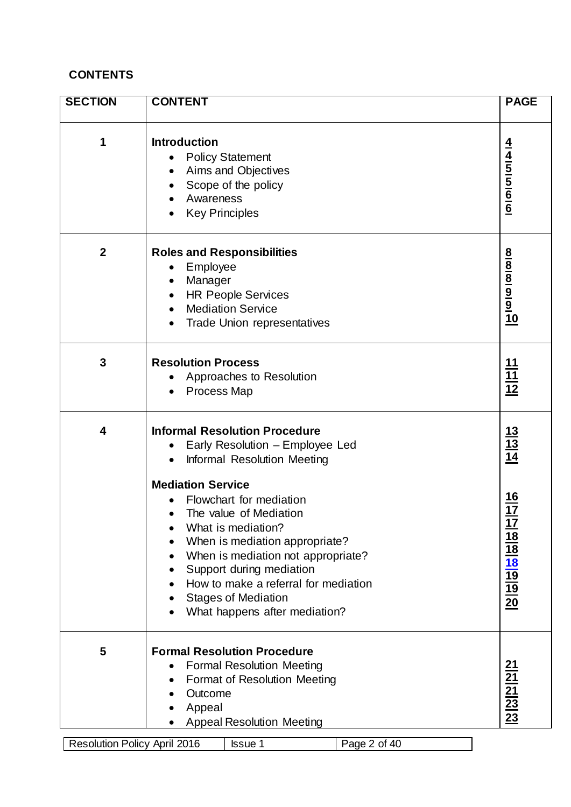# **CONTENTS**

| <b>SECTION</b>                                                                                                                                                                                                                                                                                                                                                                                                                | <b>CONTENT</b>                                                                                                                                                                                           |                                                                                                                       |  |  |
|-------------------------------------------------------------------------------------------------------------------------------------------------------------------------------------------------------------------------------------------------------------------------------------------------------------------------------------------------------------------------------------------------------------------------------|----------------------------------------------------------------------------------------------------------------------------------------------------------------------------------------------------------|-----------------------------------------------------------------------------------------------------------------------|--|--|
| 1                                                                                                                                                                                                                                                                                                                                                                                                                             | <b>Introduction</b><br><b>Policy Statement</b><br>Aims and Objectives<br>Scope of the policy<br>Awareness<br><b>Key Principles</b>                                                                       |                                                                                                                       |  |  |
| $\boldsymbol{2}$                                                                                                                                                                                                                                                                                                                                                                                                              | <b>Roles and Responsibilities</b><br>Employee<br>Manager<br><b>HR People Services</b><br><b>Mediation Service</b><br><b>Trade Union representatives</b>                                                  | 8<br> a  9  9  9  0                                                                                                   |  |  |
| 3                                                                                                                                                                                                                                                                                                                                                                                                                             | <b>Resolution Process</b><br>Approaches to Resolution<br><b>Process Map</b>                                                                                                                              | $\frac{11}{11}$ $\frac{11}{12}$                                                                                       |  |  |
| <b>Informal Resolution Procedure</b><br>4<br>Early Resolution - Employee Led<br>Informal Resolution Meeting<br><b>Mediation Service</b><br>Flowchart for mediation<br>The value of Mediation<br>What is mediation?<br>When is mediation appropriate?<br>When is mediation not appropriate?<br>Support during mediation<br>How to make a referral for mediation<br><b>Stages of Mediation</b><br>What happens after mediation? |                                                                                                                                                                                                          | $\frac{13}{13}$ $\frac{13}{14}$<br>$\frac{16}{17}$<br>$\frac{17}{18}$ $\frac{18}{18}$ $\frac{19}{19}$ $\frac{19}{20}$ |  |  |
| 5<br>Resolution Policy April 2016                                                                                                                                                                                                                                                                                                                                                                                             | <b>Formal Resolution Procedure</b><br><b>Formal Resolution Meeting</b><br><b>Format of Resolution Meeting</b><br>Outcome<br>Appeal<br><b>Appeal Resolution Meeting</b><br>Page 2 of 40<br><b>Issue 1</b> | $\frac{21}{21}$ $\frac{21}{23}$ $\frac{23}{23}$                                                                       |  |  |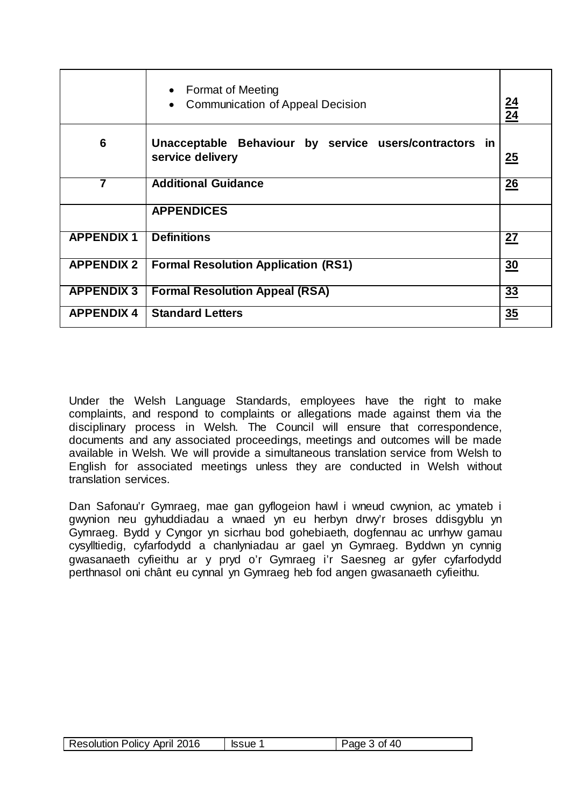|                   | • Format of Meeting<br><b>Communication of Appeal Decision</b>             |           |
|-------------------|----------------------------------------------------------------------------|-----------|
| 6                 | Unacceptable Behaviour by service users/contractors in<br>service delivery | 25        |
| 7                 | <b>Additional Guidance</b>                                                 | 26        |
|                   | <b>APPENDICES</b>                                                          |           |
| <b>APPENDIX1</b>  | <b>Definitions</b>                                                         | <u>27</u> |
| <b>APPENDIX 2</b> | <b>Formal Resolution Application (RS1)</b>                                 |           |
| <b>APPENDIX 3</b> | <b>Formal Resolution Appeal (RSA)</b>                                      | 33        |
| <b>APPENDIX 4</b> | <b>Standard Letters</b>                                                    | 35        |

Under the Welsh Language Standards, employees have the right to make complaints, and respond to complaints or allegations made against them via the disciplinary process in Welsh. The Council will ensure that correspondence, documents and any associated proceedings, meetings and outcomes will be made available in Welsh. We will provide a simultaneous translation service from Welsh to English for associated meetings unless they are conducted in Welsh without translation services.

Dan Safonau'r Gymraeg, mae gan gyflogeion hawl i wneud cwynion, ac ymateb i gwynion neu gyhuddiadau a wnaed yn eu herbyn drwy'r broses ddisgyblu yn Gymraeg. Bydd y Cyngor yn sicrhau bod gohebiaeth, dogfennau ac unrhyw gamau cysylltiedig, cyfarfodydd a chanlyniadau ar gael yn Gymraeg. Byddwn yn cynnig gwasanaeth cyfieithu ar y pryd o'r Gymraeg i'r Saesneg ar gyfer cyfarfodydd perthnasol oni chânt eu cynnal yn Gymraeg heb fod angen gwasanaeth cyfieithu.

| Resolution Policy April 2016 | <b>Issue</b> | Page 3 of 40 |
|------------------------------|--------------|--------------|
|------------------------------|--------------|--------------|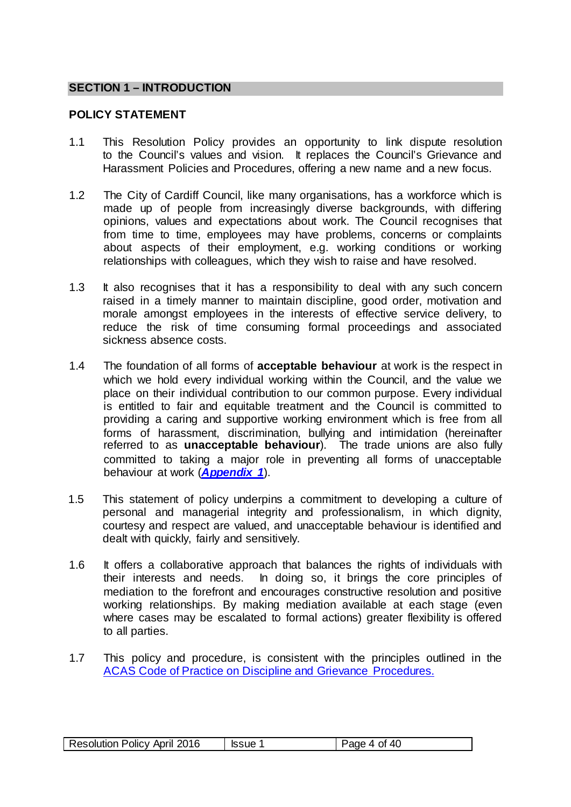#### **SECTION 1 – INTRODUCTION**

#### <span id="page-3-0"></span>**POLICY STATEMENT**

- 1.1 This Resolution Policy provides an opportunity to link dispute resolution to the Council's values and vision. It replaces the Council's Grievance and Harassment Policies and Procedures, offering a new name and a new focus.
- 1.2 The City of Cardiff Council, like many organisations, has a workforce which is made up of people from increasingly diverse backgrounds, with differing opinions, values and expectations about work. The Council recognises that from time to time, employees may have problems, concerns or complaints about aspects of their employment, e.g. working conditions or working relationships with colleagues, which they wish to raise and have resolved.
- 1.3 It also recognises that it has a responsibility to deal with any such concern raised in a timely manner to maintain discipline, good order, motivation and morale amongst employees in the interests of effective service delivery, to reduce the risk of time consuming formal proceedings and associated sickness absence costs.
- 1.4 The foundation of all forms of **acceptable behaviour** at work is the respect in which we hold every individual working within the Council, and the value we place on their individual contribution to our common purpose. Every individual is entitled to fair and equitable treatment and the Council is committed to providing a caring and supportive working environment which is free from all forms of harassment, discrimination, bullying and intimidation (hereinafter referred to as **unacceptable behaviour**). The trade unions are also fully committed to taking a major role in preventing all forms of unacceptable behaviour at work (*[Appendix 1](#page-26-0)*).
- 1.5 This statement of policy underpins a commitment to developing a culture of personal and managerial integrity and professionalism, in which dignity, courtesy and respect are valued, and unacceptable behaviour is identified and dealt with quickly, fairly and sensitively.
- 1.6 It offers a collaborative approach that balances the rights of individuals with their interests and needs. In doing so, it brings the core principles of mediation to the forefront and encourages constructive resolution and positive working relationships. By making mediation available at each stage (even where cases may be escalated to formal actions) greater flexibility is offered to all parties.
- 1.7 This policy and procedure, is consistent with the principles outlined in the [ACAS Code of Practice on Discipline and Grievance Procedures.](http://www.acas.org.uk/index.aspx?articleid=2174)

| <b>Resolution Policy April 2016</b> | <b>Issue</b> | 4 of 40<br>Page |
|-------------------------------------|--------------|-----------------|
|-------------------------------------|--------------|-----------------|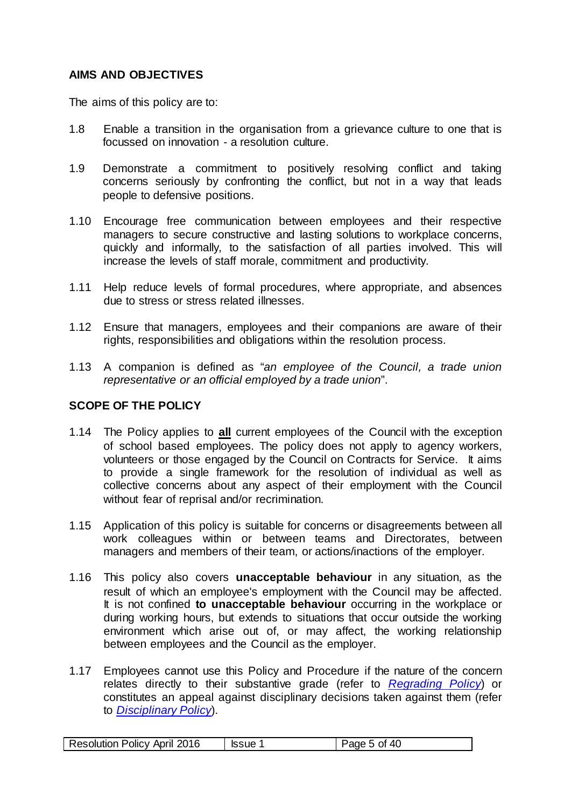# <span id="page-4-0"></span>**AIMS AND OBJECTIVES**

The aims of this policy are to:

- 1.8 Enable a transition in the organisation from a grievance culture to one that is focussed on innovation - a resolution culture.
- 1.9 Demonstrate a commitment to positively resolving conflict and taking concerns seriously by confronting the conflict, but not in a way that leads people to defensive positions.
- 1.10 Encourage free communication between employees and their respective managers to secure constructive and lasting solutions to workplace concerns, quickly and informally, to the satisfaction of all parties involved. This will increase the levels of staff morale, commitment and productivity.
- 1.11 Help reduce levels of formal procedures, where appropriate, and absences due to stress or stress related illnesses.
- 1.12 Ensure that managers, employees and their companions are aware of their rights, responsibilities and obligations within the resolution process.
- 1.13 A companion is defined as "*an employee of the Council, a trade union representative or an official employed by a trade union*".

# **SCOPE OF THE POLICY**

- 1.14 The Policy applies to **all** current employees of the Council with the exception of school based employees. The policy does not apply to agency workers, volunteers or those engaged by the Council on Contracts for Service. It aims to provide a single framework for the resolution of individual as well as collective concerns about any aspect of their employment with the Council without fear of reprisal and/or recrimination.
- 1.15 Application of this policy is suitable for concerns or disagreements between all work colleagues within or between teams and Directorates, between managers and members of their team, or actions/inactions of the employer.
- 1.16 This policy also covers **unacceptable behaviour** in any situation, as the result of which an employee's employment with the Council may be affected. It is not confined **to unacceptable behaviour** occurring in the workplace or during working hours, but extends to situations that occur outside the working environment which arise out of, or may affect, the working relationship between employees and the Council as the employer.
- 1.17 Employees cannot use this Policy and Procedure if the nature of the concern relates directly to their substantive grade (refer to *[Regrading Policy](http://edrms/sites/HR/Documents/Regrading%20Policy%20and%20Procedure%20-%20Issue%202%20-%20Sept%2014.pdf)*) or constitutes an appeal against disciplinary decisions taken against them (refer to *[Disciplinary Policy](http://edrms.cardiff.gov.uk/sites/HR/Documents/Disciplinary%20Policy.pdf)*).

| <b>Resolution Policy April 2016</b> | Issue | Page 5 of 40 |
|-------------------------------------|-------|--------------|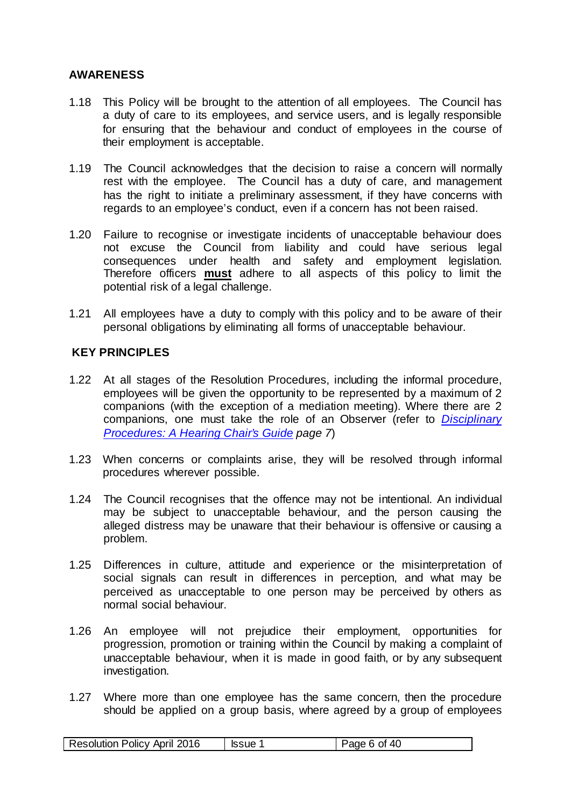#### <span id="page-5-0"></span>**AWARENESS**

- 1.18 This Policy will be brought to the attention of all employees. The Council has a duty of care to its employees, and service users, and is legally responsible for ensuring that the behaviour and conduct of employees in the course of their employment is acceptable.
- 1.19 The Council acknowledges that the decision to raise a concern will normally rest with the employee. The Council has a duty of care, and management has the right to initiate a preliminary assessment, if they have concerns with regards to an employee's conduct, even if a concern has not been raised.
- 1.20 Failure to recognise or investigate incidents of unacceptable behaviour does not excuse the Council from liability and could have serious legal consequences under health and safety and employment legislation. Therefore officers **must** adhere to all aspects of this policy to limit the potential risk of a legal challenge.
- 1.21 All employees have a duty to comply with this policy and to be aware of their personal obligations by eliminating all forms of unacceptable behaviour.

#### **KEY PRINCIPLES**

- 1.22 At all stages of the Resolution Procedures, including the informal procedure, employees will be given the opportunity to be represented by a maximum of 2 companions (with the exception of a mediation meeting). Where there are 2 companions, one must take the role of an Observer (refer to *[Disciplinary](http://edrms.cardiff.gov.uk/sites/HR/Documents/Disciplinary%20Policy%20-%20A%20Hearing%20Chair%E2%80%99s%20Guide.pdf)  [Procedures: A Hearing Chair's Guide](http://edrms.cardiff.gov.uk/sites/HR/Documents/Disciplinary%20Policy%20-%20A%20Hearing%20Chair%E2%80%99s%20Guide.pdf) page 7*)
- 1.23 When concerns or complaints arise, they will be resolved through informal procedures wherever possible.
- 1.24 The Council recognises that the offence may not be intentional. An individual may be subject to unacceptable behaviour, and the person causing the alleged distress may be unaware that their behaviour is offensive or causing a problem.
- 1.25 Differences in culture, attitude and experience or the misinterpretation of social signals can result in differences in perception, and what may be perceived as unacceptable to one person may be perceived by others as normal social behaviour.
- 1.26 An employee will not prejudice their employment, opportunities for progression, promotion or training within the Council by making a complaint of unacceptable behaviour, when it is made in good faith, or by any subsequent investigation.
- 1.27 Where more than one employee has the same concern, then the procedure should be applied on a group basis, where agreed by a group of employees

| <b>Resolution Policy April 2016</b> | <b>Issue</b> | 6 of 40<br>Page 6. |
|-------------------------------------|--------------|--------------------|
|-------------------------------------|--------------|--------------------|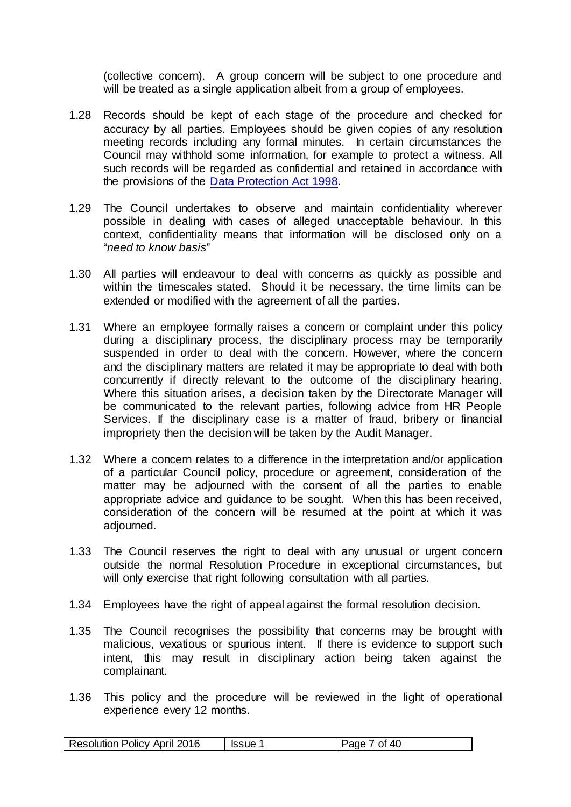(collective concern). A group concern will be subject to one procedure and will be treated as a single application albeit from a group of employees.

- 1.28 Records should be kept of each stage of the procedure and checked for accuracy by all parties. Employees should be given copies of any resolution meeting records including any formal minutes. In certain circumstances the Council may withhold some information, for example to protect a witness. All such records will be regarded as confidential and retained in accordance with the provisions of the [Data Protection Act 1998.](http://www.legislation.gov.uk/ukpga/1998/29/contents)
- 1.29 The Council undertakes to observe and maintain confidentiality wherever possible in dealing with cases of alleged unacceptable behaviour. In this context, confidentiality means that information will be disclosed only on a "*need to know basis*"
- 1.30 All parties will endeavour to deal with concerns as quickly as possible and within the timescales stated. Should it be necessary, the time limits can be extended or modified with the agreement of all the parties.
- 1.31 Where an employee formally raises a concern or complaint under this policy during a disciplinary process, the disciplinary process may be temporarily suspended in order to deal with the concern. However, where the concern and the disciplinary matters are related it may be appropriate to deal with both concurrently if directly relevant to the outcome of the disciplinary hearing. Where this situation arises, a decision taken by the Directorate Manager will be communicated to the relevant parties, following advice from HR People Services. If the disciplinary case is a matter of fraud, bribery or financial impropriety then the decision will be taken by the Audit Manager.
- 1.32 Where a concern relates to a difference in the interpretation and/or application of a particular Council policy, procedure or agreement, consideration of the matter may be adjourned with the consent of all the parties to enable appropriate advice and guidance to be sought. When this has been received, consideration of the concern will be resumed at the point at which it was adjourned.
- 1.33 The Council reserves the right to deal with any unusual or urgent concern outside the normal Resolution Procedure in exceptional circumstances, but will only exercise that right following consultation with all parties.
- 1.34 Employees have the right of appeal against the formal resolution decision.
- 1.35 The Council recognises the possibility that concerns may be brought with malicious, vexatious or spurious intent. If there is evidence to support such intent, this may result in disciplinary action being taken against the complainant.
- 1.36 This policy and the procedure will be reviewed in the light of operational experience every 12 months.

| 2016<br><b>Resolution Policy April</b> | <b>Issue</b> | 40<br>∩t<br>'ane |
|----------------------------------------|--------------|------------------|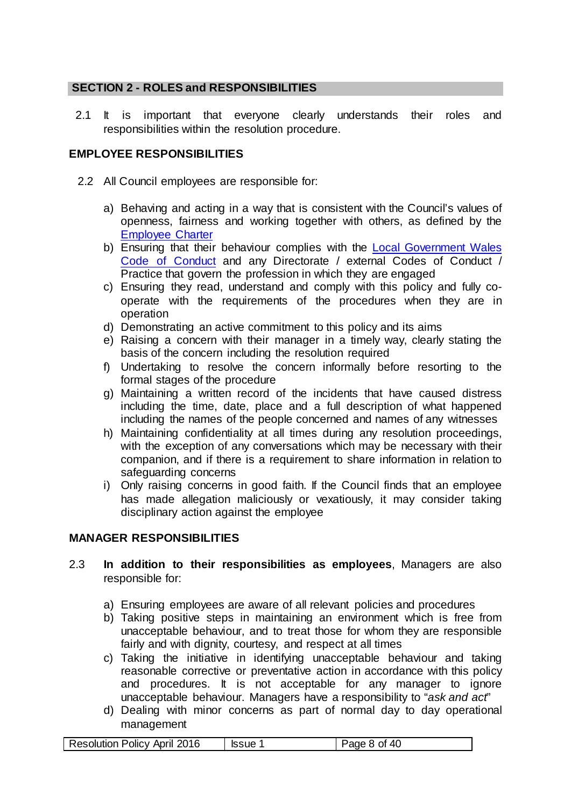# **SECTION 2 - ROLES and RESPONSIBILITIES**

2.1 It is important that everyone clearly understands their roles and responsibilities within the resolution procedure.

# **EMPLOYEE RESPONSIBILITIES**

- <span id="page-7-0"></span>2.2 All Council employees are responsible for:
	- a) Behaving and acting in a way that is consistent with the Council's values of openness, fairness and working together with others, as defined by the [Employee Charter](http://web1.cardiff.gov.uk/corpqms/PROCESSES%202008%2Flgcs%20human%20resources/1.CM.138%20-%20Employee%20Charter%20-%20Issue1%20-%20April15.pdf?unique=1453906714)
	- b) Ensuring that their behaviour complies with the Local Government Wales [Code of Conduct](http://vmweb2.cardiff.gov.uk/cis2/viewdocument.php?id=16662) and any Directorate / external Codes of Conduct / Practice that govern the profession in which they are engaged
	- c) Ensuring they read, understand and comply with this policy and fully cooperate with the requirements of the procedures when they are in operation
	- d) Demonstrating an active commitment to this policy and its aims
	- e) Raising a concern with their manager in a timely way, clearly stating the basis of the concern including the resolution required
	- f) Undertaking to resolve the concern informally before resorting to the formal stages of the procedure
	- g) Maintaining a written record of the incidents that have caused distress including the time, date, place and a full description of what happened including the names of the people concerned and names of any witnesses
	- h) Maintaining confidentiality at all times during any resolution proceedings, with the exception of any conversations which may be necessary with their companion, and if there is a requirement to share information in relation to safeguarding concerns
	- i) Only raising concerns in good faith. If the Council finds that an employee has made allegation maliciously or vexatiously, it may consider taking disciplinary action against the employee

#### **MANAGER RESPONSIBILITIES**

- 2.3 **In addition to their responsibilities as employees**, Managers are also responsible for:
	- a) Ensuring employees are aware of all relevant policies and procedures
	- b) Taking positive steps in maintaining an environment which is free from unacceptable behaviour, and to treat those for whom they are responsible fairly and with dignity, courtesy, and respect at all times
	- c) Taking the initiative in identifying unacceptable behaviour and taking reasonable corrective or preventative action in accordance with this policy and procedures. It is not acceptable for any manager to ignore unacceptable behaviour. Managers have a responsibility to "*ask and act*"
	- d) Dealing with minor concerns as part of normal day to day operational management

| <b>Resolution Policy April 2016</b> | <b>Issue</b> | Page 8 of 40 |
|-------------------------------------|--------------|--------------|
|-------------------------------------|--------------|--------------|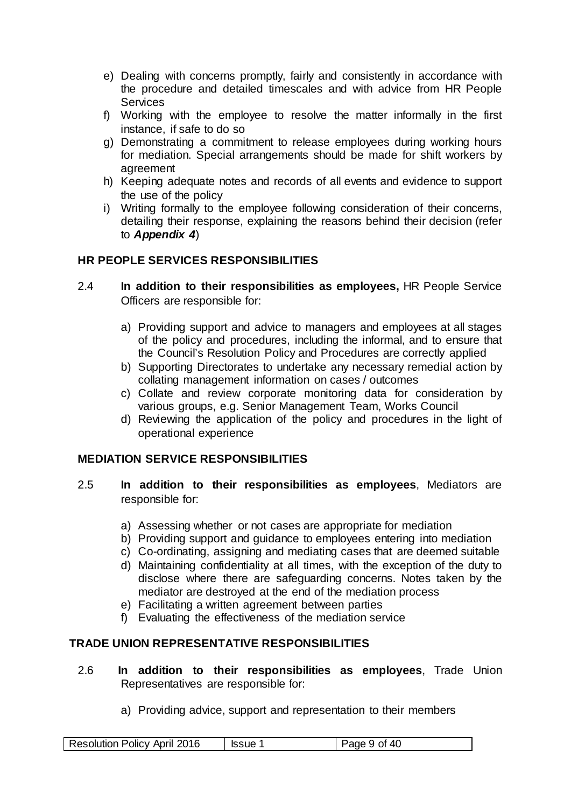- e) Dealing with concerns promptly, fairly and consistently in accordance with the procedure and detailed timescales and with advice from HR People **Services**
- f) Working with the employee to resolve the matter informally in the first instance, if safe to do so
- g) Demonstrating a commitment to release employees during working hours for mediation. Special arrangements should be made for shift workers by agreement
- h) Keeping adequate notes and records of all events and evidence to support the use of the policy
- <span id="page-8-0"></span>i) Writing formally to the employee following consideration of their concerns, detailing their response, explaining the reasons behind their decision (refer to *[Appendix 4](#page-34-0)*)

# **HR PEOPLE SERVICES RESPONSIBILITIES**

- 2.4 **In addition to their responsibilities as employees,** HR People Service Officers are responsible for:
	- a) Providing support and advice to managers and employees at all stages of the policy and procedures, including the informal, and to ensure that the Council's Resolution Policy and Procedures are correctly applied
	- b) Supporting Directorates to undertake any necessary remedial action by collating management information on cases / outcomes
	- c) Collate and review corporate monitoring data for consideration by various groups, e.g. Senior Management Team, Works Council
	- d) Reviewing the application of the policy and procedures in the light of operational experience

#### **MEDIATION SERVICE RESPONSIBILITIES**

- 2.5 **In addition to their responsibilities as employees**, Mediators are responsible for:
	- a) Assessing whether or not cases are appropriate for mediation
	- b) Providing support and guidance to employees entering into mediation
	- c) Co-ordinating, assigning and mediating cases that are deemed suitable
	- d) Maintaining confidentiality at all times, with the exception of the duty to disclose where there are safeguarding concerns. Notes taken by the mediator are destroyed at the end of the mediation process
	- e) Facilitating a written agreement between parties
	- f) Evaluating the effectiveness of the mediation service

# **TRADE UNION REPRESENTATIVE RESPONSIBILITIES**

- <span id="page-8-1"></span>2.6 **In addition to their responsibilities as employees**, Trade Union Representatives are responsible for:
	- a) Providing advice, support and representation to their members

| Resolution Policy April 2016 | <b>Issue</b> | Page 9 of 40 |  |
|------------------------------|--------------|--------------|--|
|------------------------------|--------------|--------------|--|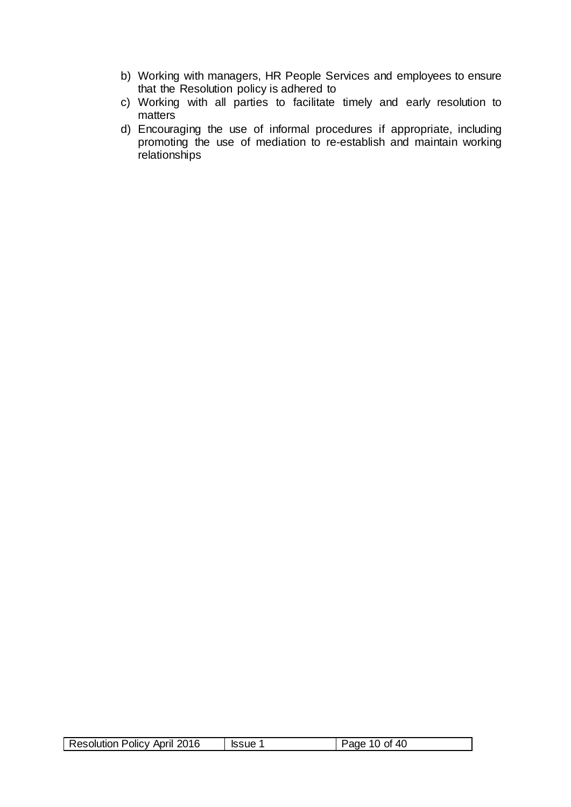- b) Working with managers, HR People Services and employees to ensure that the Resolution policy is adhered to
- c) Working with all parties to facilitate timely and early resolution to matters
- d) Encouraging the use of informal procedures if appropriate, including promoting the use of mediation to re-establish and maintain working relationships

|  | <b>Resolution Policy April 2016</b> | ssue <sup>1</sup> | Page 10 of 40 |
|--|-------------------------------------|-------------------|---------------|
|--|-------------------------------------|-------------------|---------------|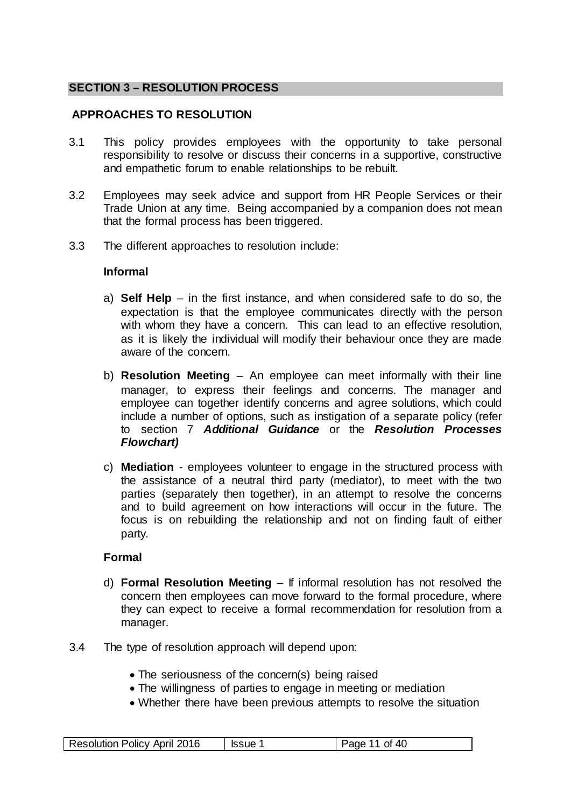### **SECTION 3 – RESOLUTION PROCESS**

# <span id="page-10-0"></span>**APPROACHES TO RESOLUTION**

- 3.1 This policy provides employees with the opportunity to take personal responsibility to resolve or discuss their concerns in a supportive, constructive and empathetic forum to enable relationships to be rebuilt.
- 3.2 Employees may seek advice and support from HR People Services or their Trade Union at any time. Being accompanied by a companion does not mean that the formal process has been triggered.
- 3.3 The different approaches to resolution include:

#### **Informal**

- a) **Self Help** in the first instance, and when considered safe to do so, the expectation is that the employee communicates directly with the person with whom they have a concern. This can lead to an effective resolution, as it is likely the individual will modify their behaviour once they are made aware of the concern.
- b) **Resolution Meeting**  An employee can meet informally with their line manager, to express their feelings and concerns. The manager and employee can together identify concerns and agree solutions, which could include a number of options, such as instigation of a separate policy (refer to section 7 *[Additional Guidance](#page-25-0)* or the *[Resolution Processes](#page-11-0)  [Flowchart\)](#page-11-0)*
- c) **Mediation**  employees volunteer to engage in the structured process with the assistance of a neutral third party (mediator), to meet with the two parties (separately then together), in an attempt to resolve the concerns and to build agreement on how interactions will occur in the future. The focus is on rebuilding the relationship and not on finding fault of either party.

#### **Formal**

- d) **Formal Resolution Meeting**  If informal resolution has not resolved the concern then employees can move forward to the formal procedure, where they can expect to receive a formal recommendation for resolution from a manager.
- 3.4 The type of resolution approach will depend upon:
	- The seriousness of the concern(s) being raised
	- The willingness of parties to engage in meeting or mediation
	- Whether there have been previous attempts to resolve the situation

| Resolution Policy April 2016 | lssue <sup>1</sup> | $\vert$ Page 11 of 40 |
|------------------------------|--------------------|-----------------------|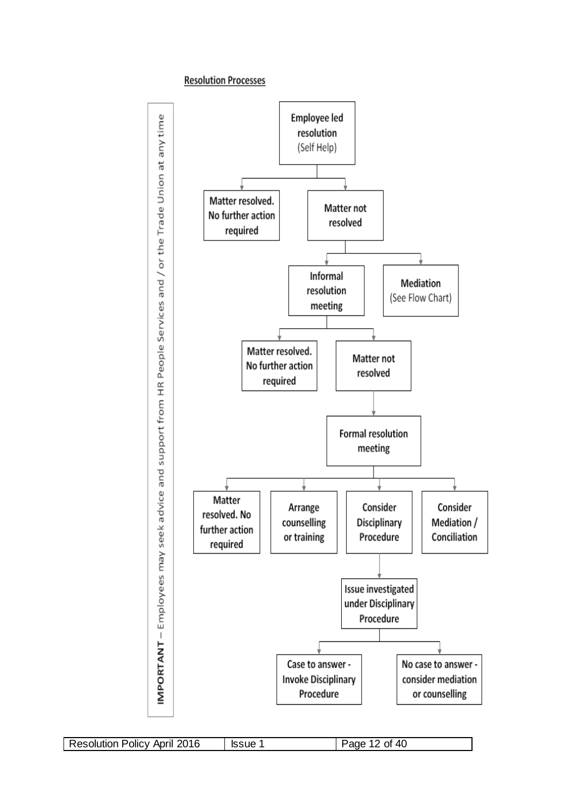#### **Resolution Processes**

<span id="page-11-0"></span>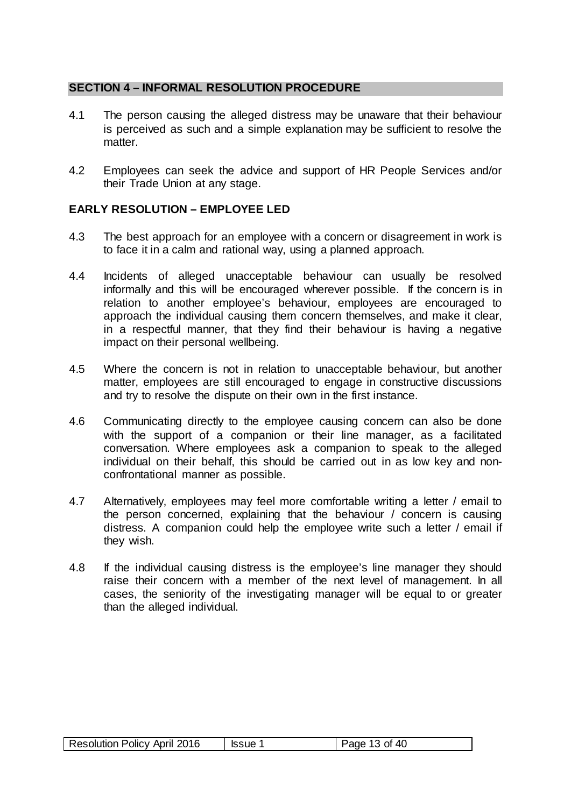#### <span id="page-12-0"></span>**SECTION 4 – INFORMAL RESOLUTION PROCEDURE**

- 4.1 The person causing the alleged distress may be unaware that their behaviour is perceived as such and a simple explanation may be sufficient to resolve the matter.
- 4.2 Employees can seek the advice and support of HR People Services and/or their Trade Union at any stage.

#### **EARLY RESOLUTION – EMPLOYEE LED**

- 4.3 The best approach for an employee with a concern or disagreement in work is to face it in a calm and rational way, using a planned approach.
- 4.4 Incidents of alleged unacceptable behaviour can usually be resolved informally and this will be encouraged wherever possible. If the concern is in relation to another employee's behaviour, employees are encouraged to approach the individual causing them concern themselves, and make it clear, in a respectful manner, that they find their behaviour is having a negative impact on their personal wellbeing.
- 4.5 Where the concern is not in relation to unacceptable behaviour, but another matter, employees are still encouraged to engage in constructive discussions and try to resolve the dispute on their own in the first instance.
- 4.6 Communicating directly to the employee causing concern can also be done with the support of a companion or their line manager, as a facilitated conversation. Where employees ask a companion to speak to the alleged individual on their behalf, this should be carried out in as low key and nonconfrontational manner as possible.
- 4.7 Alternatively, employees may feel more comfortable writing a letter / email to the person concerned, explaining that the behaviour / concern is causing distress. A companion could help the employee write such a letter / email if they wish.
- 4.8 If the individual causing distress is the employee's line manager they should raise their concern with a member of the next level of management. In all cases, the seniority of the investigating manager will be equal to or greater than the alleged individual.

| Resolution Policy April 2016 | <b>Issue</b> | Page 13 of 40 |
|------------------------------|--------------|---------------|
|------------------------------|--------------|---------------|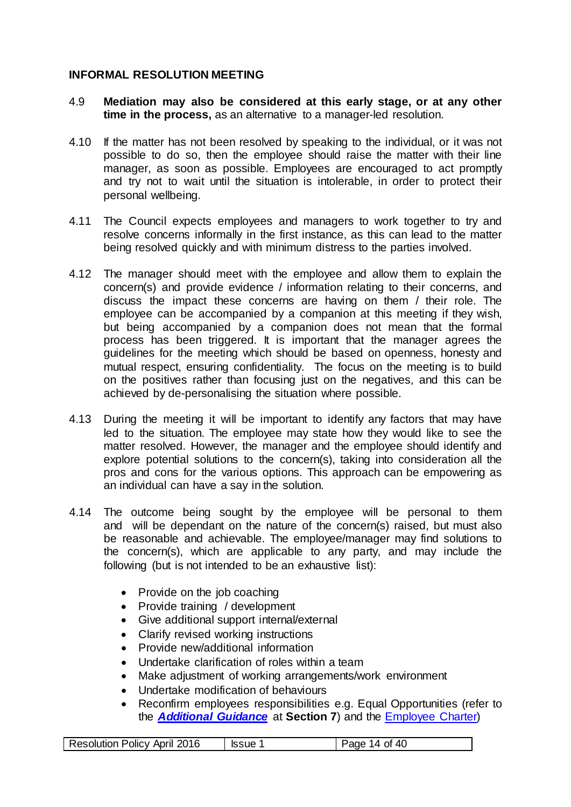### **INFORMAL RESOLUTION MEETING**

- 4.9 **Mediation may also be considered at this early stage, or at any other time in the process,** as an alternative to a manager-led resolution.
- 4.10 If the matter has not been resolved by speaking to the individual, or it was not possible to do so, then the employee should raise the matter with their line manager, as soon as possible. Employees are encouraged to act promptly and try not to wait until the situation is intolerable, in order to protect their personal wellbeing.
- 4.11 The Council expects employees and managers to work together to try and resolve concerns informally in the first instance, as this can lead to the matter being resolved quickly and with minimum distress to the parties involved.
- 4.12 The manager should meet with the employee and allow them to explain the concern(s) and provide evidence / information relating to their concerns, and discuss the impact these concerns are having on them / their role. The employee can be accompanied by a companion at this meeting if they wish, but being accompanied by a companion does not mean that the formal process has been triggered. It is important that the manager agrees the guidelines for the meeting which should be based on openness, honesty and mutual respect, ensuring confidentiality. The focus on the meeting is to build on the positives rather than focusing just on the negatives, and this can be achieved by de-personalising the situation where possible.
- 4.13 During the meeting it will be important to identify any factors that may have led to the situation. The employee may state how they would like to see the matter resolved. However, the manager and the employee should identify and explore potential solutions to the concern(s), taking into consideration all the pros and cons for the various options. This approach can be empowering as an individual can have a say in the solution.
- 4.14 The outcome being sought by the employee will be personal to them and will be dependant on the nature of the concern(s) raised, but must also be reasonable and achievable. The employee/manager may find solutions to the concern(s), which are applicable to any party, and may include the following (but is not intended to be an exhaustive list):
	- Provide on the job coaching
	- Provide training / development
	- Give additional support internal/external
	- Clarify revised working instructions
	- Provide new/additional information
	- Undertake clarification of roles within a team
	- Make adjustment of working arrangements/work environment
	- Undertake modification of behaviours
	- Reconfirm employees responsibilities e.g. Equal Opportunities (refer to the *[Additional Guidance](#page-16-1)* at **Section 7**) and the [Employee Charter\)](http://vmweb2.cardiff.gov.uk/cis2/viewdocument.php?id=72486)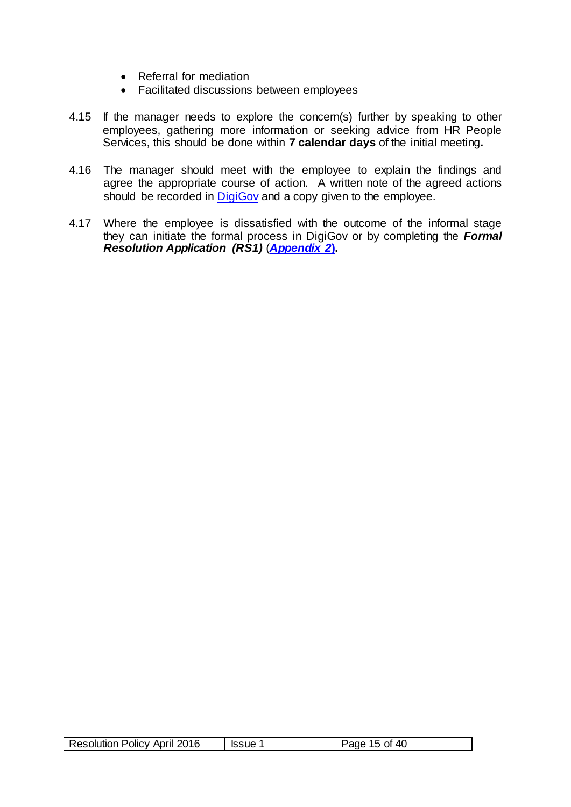- Referral for mediation
- Facilitated discussions between employees
- 4.15 If the manager needs to explore the concern(s) further by speaking to other employees, gathering more information or seeking advice from HR People Services, this should be done within **7 calendar days** of the initial meeting**.**
- 4.16 The manager should meet with the employee to explain the findings and agree the appropriate course of action. A written note of the agreed actions should be recorded in [DigiGov](http://cmsweb.cardiff.gov.uk/cardiff/content.asp?nav=5184&parent_directory_id=3094&id=32001&Language=) and a copy given to the employee.
- 4.17 Where the employee is dissatisfied with the outcome of the informal stage they can initiate the formal process in DigiGov or by completing the *[Formal](#page-29-0)  [Resolution Application](#page-29-0) (RS1)* (*[Appendix 2](#page-29-0)***).**

|  | <b>Resolution Policy April 2016</b> | ssue <sup>?</sup> | Page 15 of 40 |
|--|-------------------------------------|-------------------|---------------|
|--|-------------------------------------|-------------------|---------------|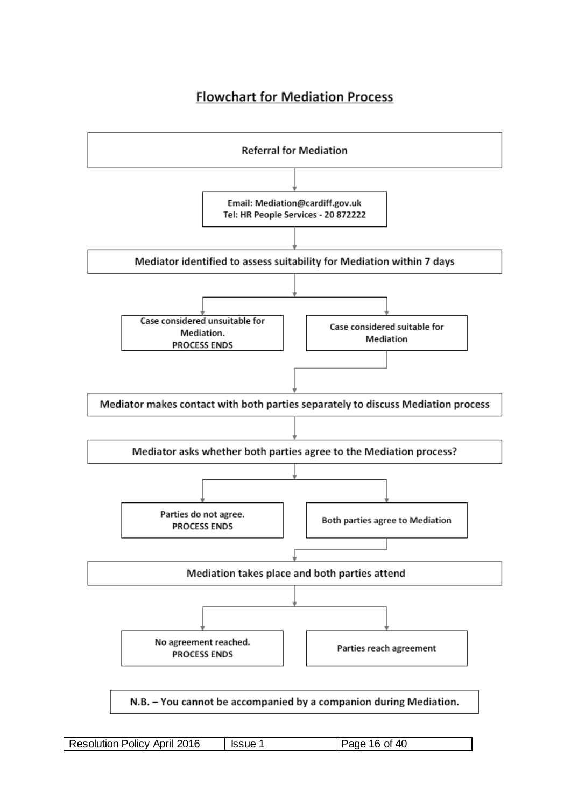# **Flowchart for Mediation Process**

<span id="page-15-0"></span>

| <b>Resolution Policy April 2016</b> | <b>Issue 1</b> | Page 16 of 40 |
|-------------------------------------|----------------|---------------|
|-------------------------------------|----------------|---------------|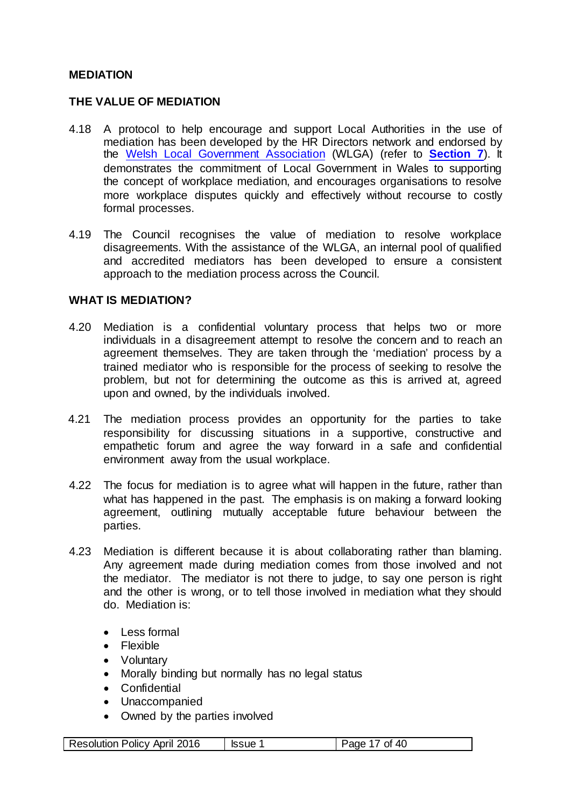#### **MEDIATION**

#### <span id="page-16-0"></span>**THE VALUE OF MEDIATION**

- <span id="page-16-1"></span>4.18 A protocol to help encourage and support Local Authorities in the use of mediation has been developed by the HR Directors network and endorsed by the [Welsh Local Government Association](http://www.wlga.gov.uk/) (WLGA) (refer to **[Section 7](#page-16-1)**). It demonstrates the commitment of Local Government in Wales to supporting the concept of workplace mediation, and encourages organisations to resolve more workplace disputes quickly and effectively without recourse to costly formal processes.
- 4.19 The Council recognises the value of mediation to resolve workplace disagreements. With the assistance of the WLGA, an internal pool of qualified and accredited mediators has been developed to ensure a consistent approach to the mediation process across the Council.

#### **WHAT IS MEDIATION?**

- 4.20 Mediation is a confidential voluntary process that helps two or more individuals in a disagreement attempt to resolve the concern and to reach an agreement themselves. They are taken through the 'mediation' process by a trained mediator who is responsible for the process of seeking to resolve the problem, but not for determining the outcome as this is arrived at, agreed upon and owned, by the individuals involved.
- 4.21 The mediation process provides an opportunity for the parties to take responsibility for discussing situations in a supportive, constructive and empathetic forum and agree the way forward in a safe and confidential environment away from the usual workplace.
- 4.22 The focus for mediation is to agree what will happen in the future, rather than what has happened in the past. The emphasis is on making a forward looking agreement, outlining mutually acceptable future behaviour between the parties.
- 4.23 Mediation is different because it is about collaborating rather than blaming. Any agreement made during mediation comes from those involved and not the mediator. The mediator is not there to judge, to say one person is right and the other is wrong, or to tell those involved in mediation what they should do. Mediation is:
	- Less formal
	- Flexible
	- Voluntary
	- Morally binding but normally has no legal status
	- Confidential
	- Unaccompanied
	- Owned by the parties involved

| Resolution Policy April 2016 | <b>Issue 1</b> | Page 17 of 40 |
|------------------------------|----------------|---------------|
|                              |                |               |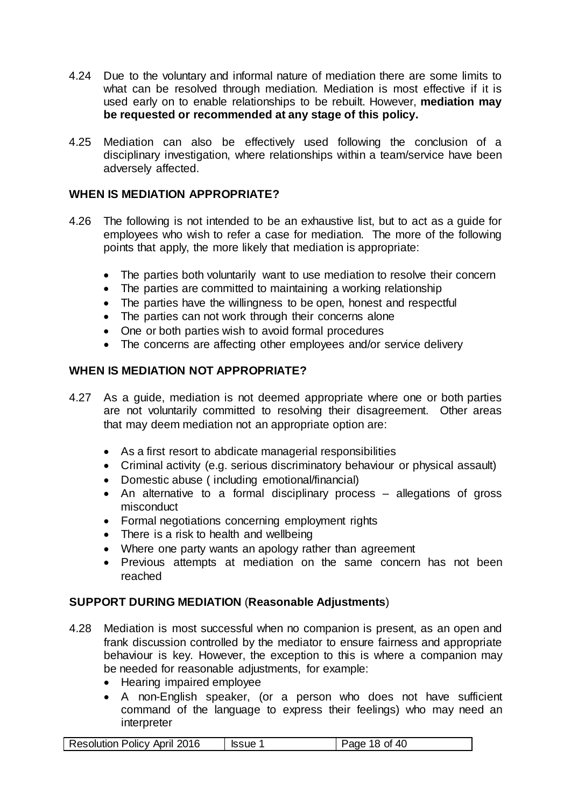- 4.24 Due to the voluntary and informal nature of mediation there are some limits to what can be resolved through mediation. Mediation is most effective if it is used early on to enable relationships to be rebuilt. However, **mediation may be requested or recommended at any stage of this policy.**
- 4.25 Mediation can also be effectively used following the conclusion of a disciplinary investigation, where relationships within a team/service have been adversely affected.

# <span id="page-17-0"></span>**WHEN IS MEDIATION APPROPRIATE?**

- 4.26 The following is not intended to be an exhaustive list, but to act as a guide for employees who wish to refer a case for mediation. The more of the following points that apply, the more likely that mediation is appropriate:
	- The parties both voluntarily want to use mediation to resolve their concern
	- The parties are committed to maintaining a working relationship
	- The parties have the willingness to be open, honest and respectful
	- The parties can not work through their concerns alone
	- One or both parties wish to avoid formal procedures
	- The concerns are affecting other employees and/or service delivery

# **WHEN IS MEDIATION NOT APPROPRIATE?**

- 4.27 As a guide, mediation is not deemed appropriate where one or both parties are not voluntarily committed to resolving their disagreement. Other areas that may deem mediation not an appropriate option are:
	- As a first resort to abdicate managerial responsibilities
	- Criminal activity (e.g. serious discriminatory behaviour or physical assault)
	- Domestic abuse ( including emotional/financial)
	- An alternative to a formal disciplinary process allegations of gross misconduct
	- Formal negotiations concerning employment rights
	- There is a risk to health and wellbeing
	- Where one party wants an apology rather than agreement
	- Previous attempts at mediation on the same concern has not been reached

#### <span id="page-17-1"></span>**SUPPORT DURING MEDIATION** (**Reasonable Adjustments**)

- 4.28 Mediation is most successful when no companion is present, as an open and frank discussion controlled by the mediator to ensure fairness and appropriate behaviour is key. However, the exception to this is where a companion may be needed for reasonable adjustments, for example:
	- Hearing impaired employee
	- A non-English speaker, (or a person who does not have sufficient command of the language to express their feelings) who may need an interpreter

| Resolution Policy April 2016 | <b>Issue</b> | Page 18 of $40$ |
|------------------------------|--------------|-----------------|
|------------------------------|--------------|-----------------|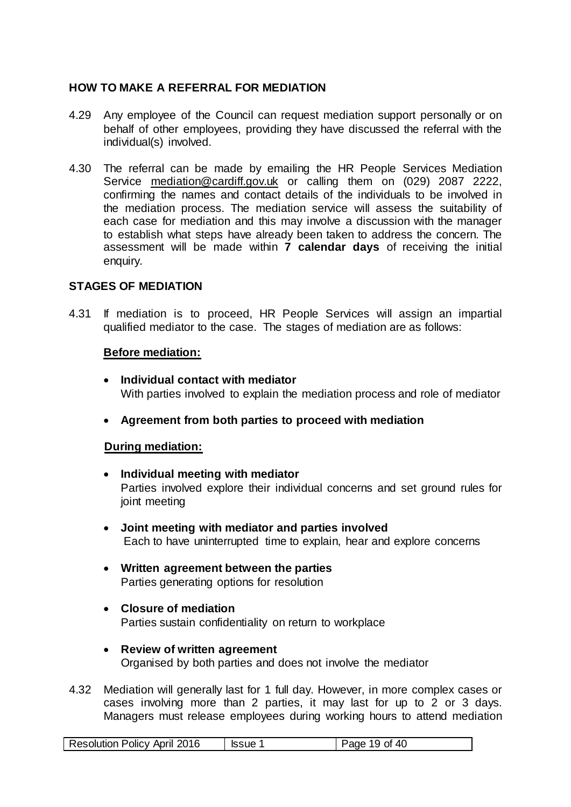# <span id="page-18-0"></span>**HOW TO MAKE A REFERRAL FOR MEDIATION**

- 4.29 Any employee of the Council can request mediation support personally or on behalf of other employees, providing they have discussed the referral with the individual(s) involved.
- 4.30 The referral can be made by emailing the HR People Services Mediation Service [mediation@cardiff.gov.uk](mailto:mediation@cardiff.gov.uk) or calling them on (029) 2087 2222, confirming the names and contact details of the individuals to be involved in the mediation process. The mediation service will assess the suitability of each case for mediation and this may involve a discussion with the manager to establish what steps have already been taken to address the concern. The assessment will be made within **7 calendar days** of receiving the initial enquiry.

#### **STAGES OF MEDIATION**

4.31 If mediation is to proceed, HR People Services will assign an impartial qualified mediator to the case. The stages of mediation are as follows:

#### **Before mediation:**

- **Individual contact with mediator** With parties involved to explain the mediation process and role of mediator
- **Agreement from both parties to proceed with mediation**

#### **During mediation:**

- **Individual meeting with mediator** Parties involved explore their individual concerns and set ground rules for joint meeting
- **Joint meeting with mediator and parties involved** Each to have uninterrupted time to explain, hear and explore concerns
- **Written agreement between the parties** Parties generating options for resolution
- **Closure of mediation** Parties sustain confidentiality on return to workplace
- **Review of written agreement** Organised by both parties and does not involve the mediator
- 4.32 Mediation will generally last for 1 full day. However, in more complex cases or cases involving more than 2 parties, it may last for up to 2 or 3 days. Managers must release employees during working hours to attend mediation

|--|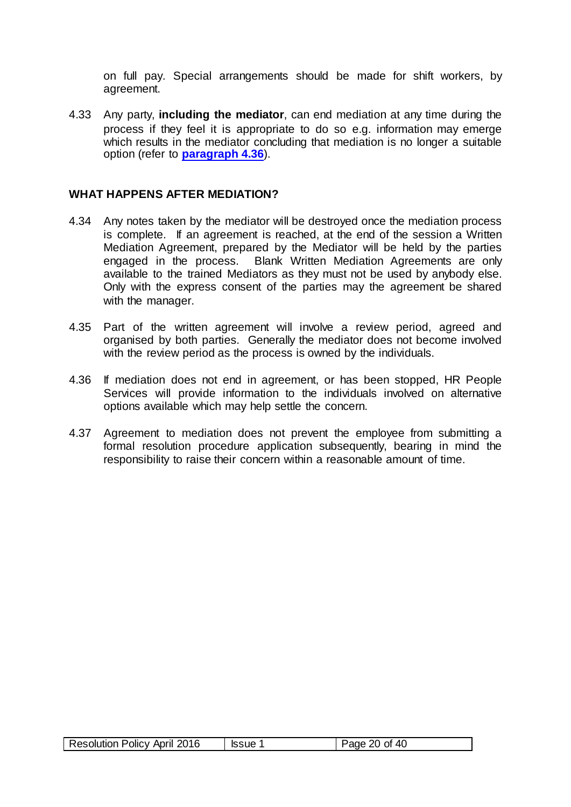on full pay. Special arrangements should be made for shift workers, by agreement.

4.33 Any party, **including the mediator**, can end mediation at any time during the process if they feel it is appropriate to do so e.g. information may emerge which results in the mediator concluding that mediation is no longer a suitable option (refer to **[paragraph](#page-19-1) 4.36**).

#### <span id="page-19-0"></span>**WHAT HAPPENS AFTER MEDIATION?**

- 4.34 Any notes taken by the mediator will be destroyed once the mediation process is complete. If an agreement is reached, at the end of the session a Written Mediation Agreement, prepared by the Mediator will be held by the parties engaged in the process. Blank Written Mediation Agreements are only available to the trained Mediators as they must not be used by anybody else. Only with the express consent of the parties may the agreement be shared with the manager.
- 4.35 Part of the written agreement will involve a review period, agreed and organised by both parties. Generally the mediator does not become involved with the review period as the process is owned by the individuals.
- <span id="page-19-1"></span>4.36 If mediation does not end in agreement, or has been stopped, HR People Services will provide information to the individuals involved on alternative options available which may help settle the concern.
- 4.37 Agreement to mediation does not prevent the employee from submitting a formal resolution procedure application subsequently, bearing in mind the responsibility to raise their concern within a reasonable amount of time.

| <b>Resolution Policy April 2016</b><br>Page 20 of 40<br><b>Issue</b> |
|----------------------------------------------------------------------|
|----------------------------------------------------------------------|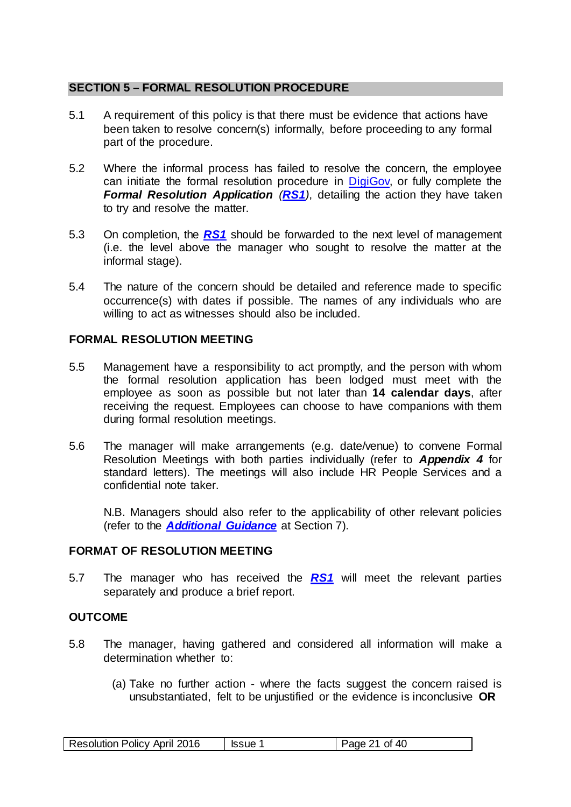# <span id="page-20-0"></span>**SECTION 5 – FORMAL RESOLUTION PROCEDURE**

- 5.1 A requirement of this policy is that there must be evidence that actions have been taken to resolve concern(s) informally, before proceeding to any formal part of the procedure.
- 5.2 Where the informal process has failed to resolve the concern, the employee can initiate the formal resolution procedure in **DigiGov**, or fully complete the *[Formal Resolution Application](#page-29-0) ([RS1](#page-29-0))*, detailing the action they have taken to try and resolve the matter.
- 5.3 On completion, the *[RS1](#page-29-0)* should be forwarded to the next level of management (i.e. the level above the manager who sought to resolve the matter at the informal stage).
- 5.4 The nature of the concern should be detailed and reference made to specific occurrence(s) with dates if possible. The names of any individuals who are willing to act as witnesses should also be included.

#### **FORMAL RESOLUTION MEETING**

- 5.5 Management have a responsibility to act promptly, and the person with whom the formal resolution application has been lodged must meet with the employee as soon as possible but not later than **14 calendar days**, after receiving the request. Employees can choose to have companions with them during formal resolution meetings.
- 5.6 The manager will make arrangements (e.g. date/venue) to convene Formal Resolution Meetings with both parties individually (refer to *[Appendix 4](#page-34-0)* for standard letters). The meetings will also include HR People Services and a confidential note taker.

N.B. Managers should also refer to the applicability of other relevant policies (refer to the *[Additional Guidance](#page-16-1)* at Section 7).

# **FORMAT OF RESOLUTION MEETING**

5.7 The manager who has received the *[RS1](#page-29-0)* will meet the relevant parties separately and produce a brief report.

#### **OUTCOME**

- 5.8 The manager, having gathered and considered all information will make a determination whether to:
	- (a) Take no further action where the facts suggest the concern raised is unsubstantiated, felt to be unjustified or the evidence is inconclusive **OR**

| <b>Resolution Policy April 2016</b> | ssue 1 | Page 21 of 40 |
|-------------------------------------|--------|---------------|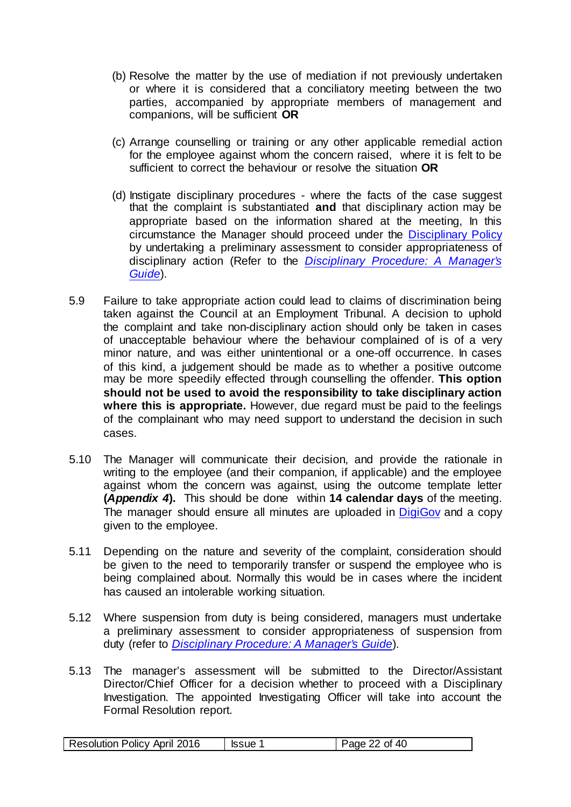- (b) Resolve the matter by the use of mediation if not previously undertaken or where it is considered that a conciliatory meeting between the two parties, accompanied by appropriate members of management and companions, will be sufficient **OR**
- (c) Arrange counselling or training or any other applicable remedial action for the employee against whom the concern raised, where it is felt to be sufficient to correct the behaviour or resolve the situation **OR**
- (d) Instigate disciplinary procedures where the facts of the case suggest that the complaint is substantiated **and** that disciplinary action may be appropriate based on the information shared at the meeting, In this circumstance the Manager should proceed under the [Disciplinary Policy](http://edrms.cardiff.gov.uk/sites/HR/Documents/Disciplinary%20Policy.pdf)  by undertaking a preliminary assessment to consider appropriateness of disciplinary action (Refer to the *[Disciplinary Procedure: A Manager's](http://edrms.cardiff.gov.uk/sites/HR/Documents/Disciplinary%20Policy%20-%20A%20Manager%E2%80%99s%20Guide.pdf)  [Guide](http://edrms.cardiff.gov.uk/sites/HR/Documents/Disciplinary%20Policy%20-%20A%20Manager%E2%80%99s%20Guide.pdf)*).
- 5.9 Failure to take appropriate action could lead to claims of discrimination being taken against the Council at an Employment Tribunal. A decision to uphold the complaint and take non-disciplinary action should only be taken in cases of unacceptable behaviour where the behaviour complained of is of a very minor nature, and was either unintentional or a one-off occurrence. In cases of this kind, a judgement should be made as to whether a positive outcome may be more speedily effected through counselling the offender. **This option should not be used to avoid the responsibility to take disciplinary action where this is appropriate.** However, due regard must be paid to the feelings of the complainant who may need support to understand the decision in such cases.
- 5.10 The Manager will communicate their decision, and provide the rationale in writing to the employee (and their companion, if applicable) and the employee against whom the concern was against, using the outcome template letter **(***[Appendix 4](#page-34-0)***).** This should be done within **14 calendar days** of the meeting. The manager should ensure all minutes are uploaded in [DigiGov](http://cmsweb.cardiff.gov.uk/cardiff/content.asp?nav=5184&parent_directory_id=3094&id=32001&Language=) and a copy given to the employee.
- 5.11 Depending on the nature and severity of the complaint, consideration should be given to the need to temporarily transfer or suspend the employee who is being complained about. Normally this would be in cases where the incident has caused an intolerable working situation.
- 5.12 Where suspension from duty is being considered, managers must undertake a preliminary assessment to consider appropriateness of suspension from duty (refer to *[Disciplinary Procedure: A Manager's Guide](http://edrms.cardiff.gov.uk/sites/HR/Documents/Disciplinary%20Policy%20-%20A%20Manager%E2%80%99s%20Guide.pdf)*).
- 5.13 The manager's assessment will be submitted to the Director/Assistant Director/Chief Officer for a decision whether to proceed with a Disciplinary Investigation. The appointed Investigating Officer will take into account the Formal Resolution report.

| <b>Resolution Policy April 2016</b> | ssue 1 | Page 22 of 40 |
|-------------------------------------|--------|---------------|
|                                     |        |               |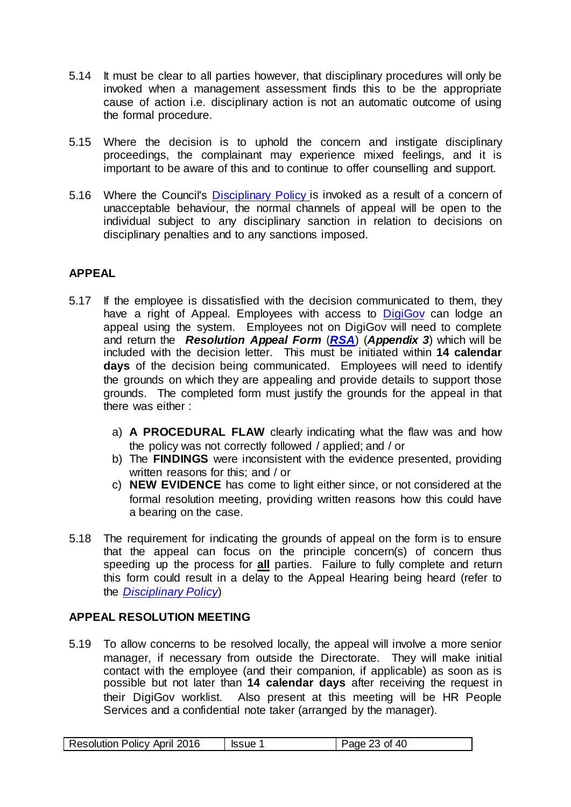- 5.14 It must be clear to all parties however, that disciplinary procedures will only be invoked when a management assessment finds this to be the appropriate cause of action i.e. disciplinary action is not an automatic outcome of using the formal procedure.
- 5.15 Where the decision is to uphold the concern and instigate disciplinary proceedings, the complainant may experience mixed feelings, and it is important to be aware of this and to continue to offer counselling and support.
- 5.16 Where the Council's [Disciplinary Policy](http://edrms.cardiff.gov.uk/sites/HR/Documents/Disciplinary%20Policy.pdf) is invoked as a result of a concern of unacceptable behaviour, the normal channels of appeal will be open to the individual subject to any disciplinary sanction in relation to decisions on disciplinary penalties and to any sanctions imposed.

# <span id="page-22-0"></span>**APPEAL**

- 5.17 If the employee is dissatisfied with the decision communicated to them, they have a right of Appeal. Employees with access to [DigiGov](http://cmsweb.cardiff.gov.uk/cardiff/content.asp?nav=5184&parent_directory_id=3094&id=32001&Language=) can lodge an appeal using the system. Employees not on DigiGov will need to complete and return the *[Resolution Appeal Form](#page-32-0)* (*[RSA](#page-32-0)*) (*Appendix 3*) which will be included with the decision letter. This must be initiated within **14 calendar days** of the decision being communicated.Employees will need to identify the grounds on which they are appealing and provide details to support those grounds. The completed form must justify the grounds for the appeal in that there was either :
	- a) **A PROCEDURAL FLAW** clearly indicating what the flaw was and how the policy was not correctly followed / applied; and / or
	- b) The **FINDINGS** were inconsistent with the evidence presented, providing written reasons for this; and / or
	- c) **NEW EVIDENCE** has come to light either since, or not considered at the formal resolution meeting, providing written reasons how this could have a bearing on the case.
- 5.18 The requirement for indicating the grounds of appeal on the form is to ensure that the appeal can focus on the principle concern(s) of concern thus speeding up the process for **all** parties. Failure to fully complete and return this form could result in a delay to the Appeal Hearing being heard (refer to the *[Disciplinary Policy](http://edrms.cardiff.gov.uk/sites/HR/Documents/Disciplinary%20Policy.pdf)*)

# <span id="page-22-1"></span>**APPEAL RESOLUTION MEETING**

5.19 To allow concerns to be resolved locally, the appeal will involve a more senior manager, if necessary from outside the Directorate. They will make initial contact with the employee (and their companion, if applicable) as soon as is possible but not later than **14 calendar days** after receiving the request in their DigiGov worklist. Also present at this meeting will be HR People Services and a confidential note taker (arranged by the manager).

| 2016<br>-40<br>0t<br>9112<br>ю |                                |  |
|--------------------------------|--------------------------------|--|
|                                | <b>Resolution Policy April</b> |  |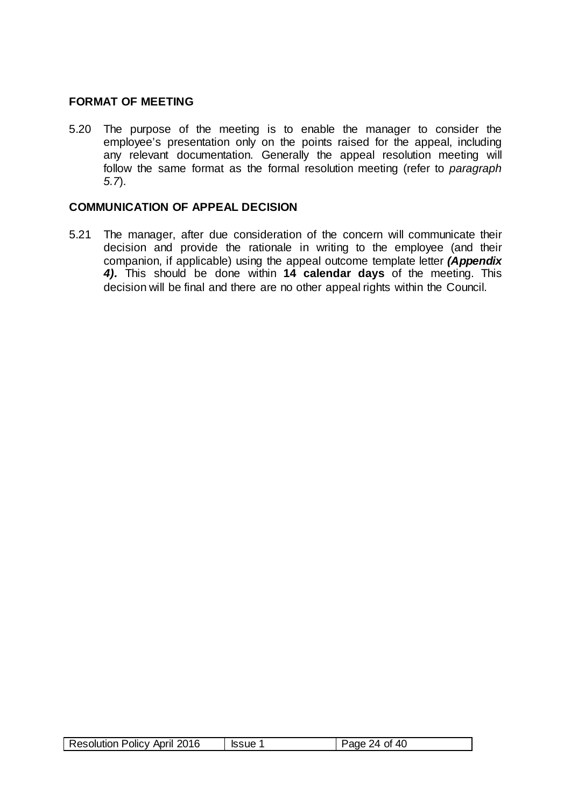# **FORMAT OF MEETING**

5.20 The purpose of the meeting is to enable the manager to consider the employee's presentation only on the points raised for the appeal, including any relevant documentation. Generally the appeal resolution meeting will follow the same format as the formal resolution meeting (refer to *paragraph 5.7*).

# **COMMUNICATION OF APPEAL DECISION**

5.21 The manager, after due consideration of the concern will communicate their decision and provide the rationale in writing to the employee (and their companion, if applicable) using the appeal outcome template letter *[\(Appendix](#page-34-0)  [4\).](#page-34-0)* This should be done within **14 calendar days** of the meeting. This decision will be final and there are no other appeal rights within the Council.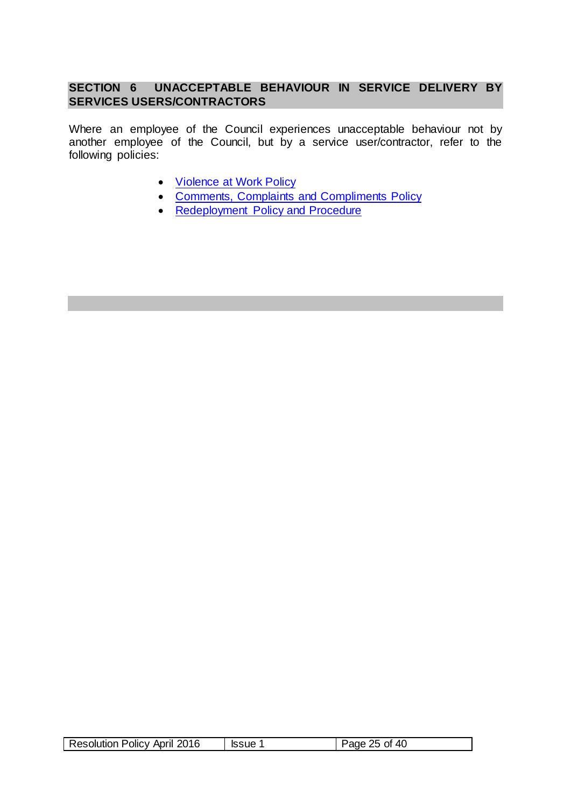# **SECTION 6 UNACCEPTABLE BEHAVIOUR IN SERVICE DELIVERY BY SERVICES USERS/CONTRACTORS**

Where an employee of the Council experiences unacceptable behaviour not by another employee of the Council, but by a service user/contractor, refer to the following policies:

- <span id="page-24-0"></span>• [Violence at Work Policy](http://edrms.cardiff.gov.uk/sites/HR/Documents/Violence%20at%20Work.pdf)
- [Comments, Complaints and Compliments Policy](http://vmweb2.cardiff.gov.uk/cis2/viewdocument.php?id=18877)
- Redeployment Policy and Procedure

| <b>Resolution Policy April 2016</b><br>40<br>$25$ of<br><b>Issue</b><br>'ane |
|------------------------------------------------------------------------------|
|------------------------------------------------------------------------------|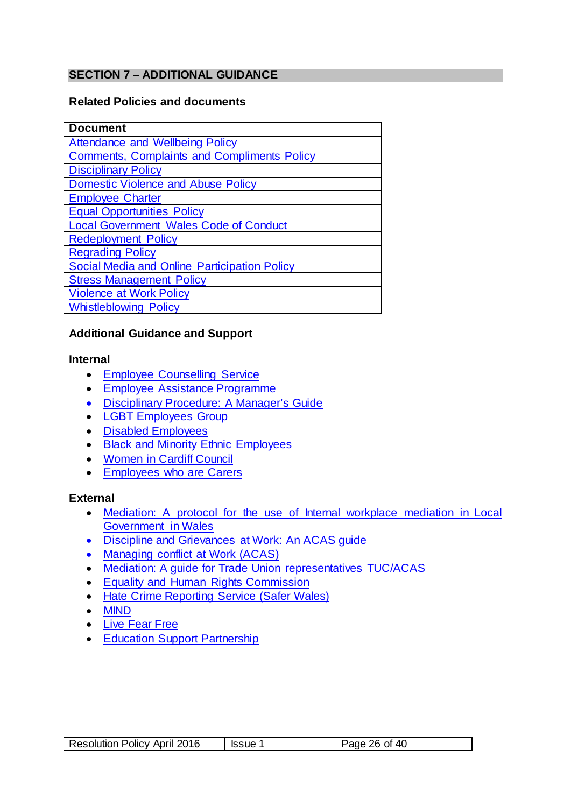# <span id="page-25-0"></span>**SECTION 7 – ADDITIONAL GUIDANCE**

#### **Related Policies and documents**

| <b>Document</b>                                    |
|----------------------------------------------------|
| <b>Attendance and Wellbeing Policy</b>             |
| <b>Comments, Complaints and Compliments Policy</b> |
| <b>Disciplinary Policy</b>                         |
| <b>Domestic Violence and Abuse Policy</b>          |
| <b>Employee Charter</b>                            |
| <b>Equal Opportunities Policy</b>                  |
| <b>Local Government Wales Code of Conduct</b>      |
| <b>Redeployment Policy</b>                         |
| <b>Regrading Policy</b>                            |
| Social Media and Online Participation Policy       |
| <b>Stress Management Policy</b>                    |
| <b>Violence at Work Policy</b>                     |
| <b>Whistleblowing Policy</b>                       |

#### **Additional Guidance and Support**

#### **Internal**

- [Employee Counselling Service](http://edrms.cardiff.gov.uk/sites/HR/Articles/Employee%20Counselling%20Service.aspx)
- [Employee Assistance Programme](http://edrms.cardiff.gov.uk/sites/HR/Articles/New%20Employee%20Assistance%20Programme.aspx)
- [Disciplinary Procedure: A Manager's Guide](http://edrms.cardiff.gov.uk/sites/HR/Documents/Disciplinary%20Policy%20-%20A%20Manager%E2%80%99s%20Guide.pdf)
- [LGBT Employees Group](mailto:LGBT%20Network%20Group%20%3cLGBTstaffgroup@cardiff.gov.uk%3e)
- [Disabled Employees](mailto:Disability%20Network%20%3cdisabledemployeesgroup@cardiff.gov.uk%3e)
- [Black and Minority Ethnic Employees](mailto:BME%20Network%20%3cBMEemployeegroup@cardiff.gov.uk%3e)
- [Women in Cardiff Council](mailto:Women%20in%20Cardiff%20Council)
- [Employees who are Carers](mailto:Employees%20who%20are%20Carers)

#### **External**

- [Mediation: A protocol for the use of Internal workplace mediation in Local](http://www.google.co.uk/url?sa=t&rct=j&q=&esrc=s&source=web&cd=1&cad=rja&uact=8&ved=0ahUKEwi1hOyv-cbLAhXC6xQKHcGLAIkQFggcMAA&url=http%3A%2F%2Fwww.wlga.gov.uk%2Fdownload.php%3Fid%3D5823%26l%3D1&usg=AFQjCNEoB3lc2qf9ceIqB4DMM4dc8NuNcAhttp://www.wlga.gov.uk/)  [Government in Wales](http://www.google.co.uk/url?sa=t&rct=j&q=&esrc=s&source=web&cd=1&cad=rja&uact=8&ved=0ahUKEwi1hOyv-cbLAhXC6xQKHcGLAIkQFggcMAA&url=http%3A%2F%2Fwww.wlga.gov.uk%2Fdownload.php%3Fid%3D5823%26l%3D1&usg=AFQjCNEoB3lc2qf9ceIqB4DMM4dc8NuNcAhttp://www.wlga.gov.uk/)
- Discipline and [Grievances at Work: An ACAS guide](http://www.acas.org.uk/index.aspx?articleid=2179http://www.acas.org.uk/index.aspx?articleid=2174)
- [Managing conflict at](http://www.acas.org.uk/index.aspx?articleid=1218http://www.acas.org.uk/media/pdf/h/r/Managing-conflict-at-work-advisory-booklet.pdf) Work (ACAS)
- [Mediation: A guide for Trade Union representatives TUC/ACAS](http://www.google.co.uk/url?sa=t&rct=j&q=&esrc=s&source=web&cd=1&cad=rja&uact=8&ved=0ahUKEwizopbf-cbLAhVCuBQKHcLoBlkQFggcMAA&url=http%3A%2F%2Fwww.acas.org.uk%2Fmedia%2Fpdf%2Fm%2F7%2FAcas_TUC_Mediation_Guide_AUGUST_2010_(Final).pdf&usg=AFQjCNG9GV0UB67C-_da1LvfboJmhVHoAw)
- [Equality and Human Rights Commission](http://www.equalityhumanrights.com/)
- [Hate Crime Reporting Service \(Safer Wales\)](http://www.saferwales.com/)
- [MIND](http://www.mind.org.uk/)
- [Live Fear Free](http://livefearfree.gov.wales/?lang=en)
- [Education Support Partnership](https://www.educationsupportpartnership.org.uk/)

| Resolution Policy April 2016 | <b>Issue</b> | Page 26 of 40 |
|------------------------------|--------------|---------------|
|------------------------------|--------------|---------------|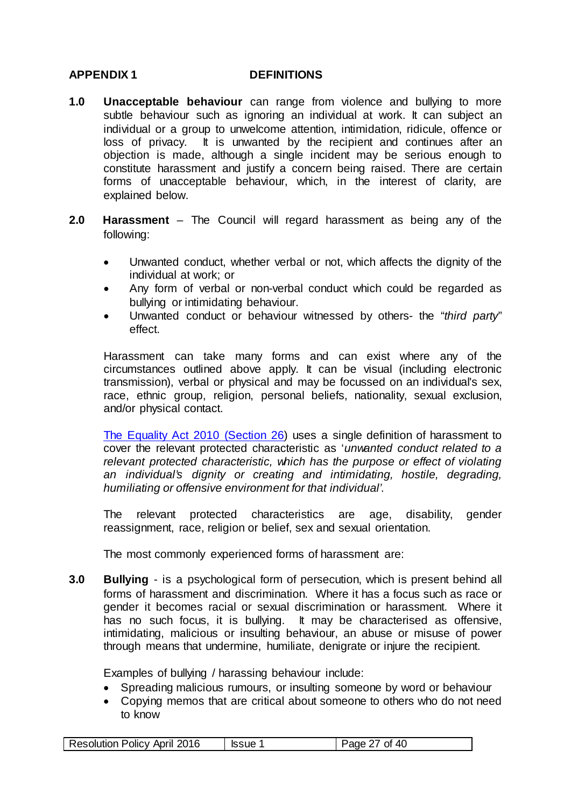#### <span id="page-26-0"></span>**APPENDIX 1 DEFINITIONS**

- **1.0 Unacceptable behaviour** can range from violence and bullying to more subtle behaviour such as ignoring an individual at work. It can subject an individual or a group to unwelcome attention, intimidation, ridicule, offence or loss of privacy. It is unwanted by the recipient and continues after an It is unwanted by the recipient and continues after an objection is made, although a single incident may be serious enough to constitute harassment and justify a concern being raised. There are certain forms of unacceptable behaviour, which, in the interest of clarity, are explained below.
- **2.0 Harassment** The Council will regard harassment as being any of the following:
	- Unwanted conduct, whether verbal or not, which affects the dignity of the individual at work; or
	- Any form of verbal or non-verbal conduct which could be regarded as bullying or intimidating behaviour.
	- Unwanted conduct or behaviour witnessed by others- the "*third party*" effect.

Harassment can take many forms and can exist where any of the circumstances outlined above apply. It can be visual (including electronic transmission), verbal or physical and may be focussed on an individual's sex, race, ethnic group, religion, personal beliefs, nationality, sexual exclusion, and/or physical contact.

[The Equality Act 2010 \(Section 26\)](mailto:http://www.legislation.gov.uk/ukpga/2010/15/section/26) uses a single definition of harassment to cover the relevant protected characteristic as '*unwanted conduct related to a relevant protected characteristic, which has the purpose or effect of violating an individual's dignity or creating and intimidating, hostile, degrading, humiliating or offensive environment for that individual'*.

The relevant protected characteristics are age, disability, gender reassignment, race, religion or belief, sex and sexual orientation.

The most commonly experienced forms of harassment are:

**3.0 Bullying** - is a psychological form of persecution, which is present behind all forms of harassment and discrimination. Where it has a focus such as race or gender it becomes racial or sexual discrimination or harassment. Where it has no such focus, it is bullying. It may be characterised as offensive, intimidating, malicious or insulting behaviour, an abuse or misuse of power through means that undermine, humiliate, denigrate or injure the recipient.

Examples of bullying / harassing behaviour include:

- Spreading malicious rumours, or insulting someone by word or behaviour
- Copying memos that are critical about someone to others who do not need to know

| Resolution Policy April 2016 | <b>Issue 1</b> | Page 27 of 40 |
|------------------------------|----------------|---------------|
|                              |                |               |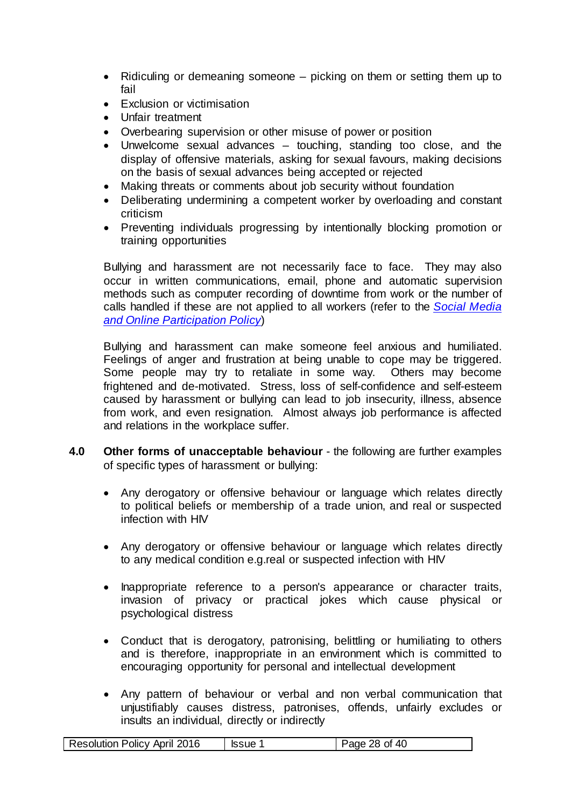- Ridiculing or demeaning someone picking on them or setting them up to fail
- Exclusion or victimisation
- Unfair treatment
- Overbearing supervision or other misuse of power or position
- Unwelcome sexual advances touching, standing too close, and the display of offensive materials, asking for sexual favours, making decisions on the basis of sexual advances being accepted or rejected
- Making threats or comments about job security without foundation
- Deliberating undermining a competent worker by overloading and constant criticism
- Preventing individuals progressing by intentionally blocking promotion or training opportunities

Bullying and harassment are not necessarily face to face. They may also occur in written communications, email, phone and automatic supervision methods such as computer recording of downtime from work or the number of calls handled if these are not applied to all workers (refer to the *[Social Media](http://vmweb2.cardiff.gov.uk/cis2/viewdocument.php?id=66639)  [and Online Participation](http://vmweb2.cardiff.gov.uk/cis2/viewdocument.php?id=66639) Policy*)

Bullying and harassment can make someone feel anxious and humiliated. Feelings of anger and frustration at being unable to cope may be triggered. Some people may try to retaliate in some way. Others may become frightened and de-motivated. Stress, loss of self-confidence and self-esteem caused by harassment or bullying can lead to job insecurity, illness, absence from work, and even resignation. Almost always job performance is affected and relations in the workplace suffer.

- **4.0 Other forms of unacceptable behaviour** the following are further examples of specific types of harassment or bullying:
	- Any derogatory or offensive behaviour or language which relates directly to political beliefs or membership of a trade union, and real or suspected infection with HIV
	- Any derogatory or offensive behaviour or language which relates directly to any medical condition e.g.real or suspected infection with HIV
	- Inappropriate reference to a person's appearance or character traits, invasion of privacy or practical jokes which cause physical or psychological distress
	- Conduct that is derogatory, patronising, belittling or humiliating to others and is therefore, inappropriate in an environment which is committed to encouraging opportunity for personal and intellectual development
	- Any pattern of behaviour or verbal and non verbal communication that unjustifiably causes distress, patronises, offends, unfairly excludes or insults an individual, directly or indirectly

| Resolution Policy April 2016 | lssue 1 | Page 28 of 40 |
|------------------------------|---------|---------------|
|------------------------------|---------|---------------|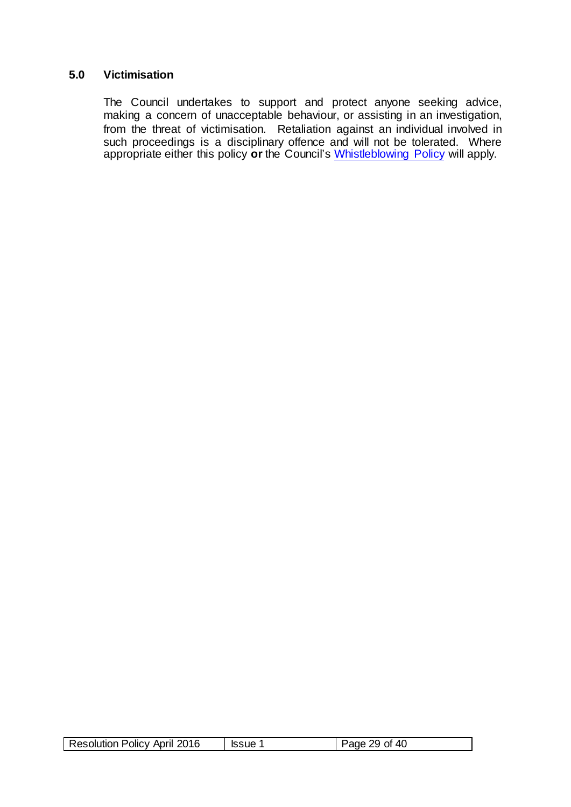#### **5.0 Victimisation**

The Council undertakes to support and protect anyone seeking advice, making a concern of unacceptable behaviour, or assisting in an investigation, from the threat of victimisation. Retaliation against an individual involved in such proceedings is a disciplinary offence and will not be tolerated. Where appropriate either this policy **or** the Council's [Whistleblowing Policy](http://edrms.cardiff.gov.uk/sites/HR/Documents/Whistleblowing%20Policy%20-%20v6.1%20%20Jan%2015.pdf) will apply.

|  | <b>Resolution Policy April 2016</b> | lssue <sup>1</sup> | Page 29 of 40 |
|--|-------------------------------------|--------------------|---------------|
|--|-------------------------------------|--------------------|---------------|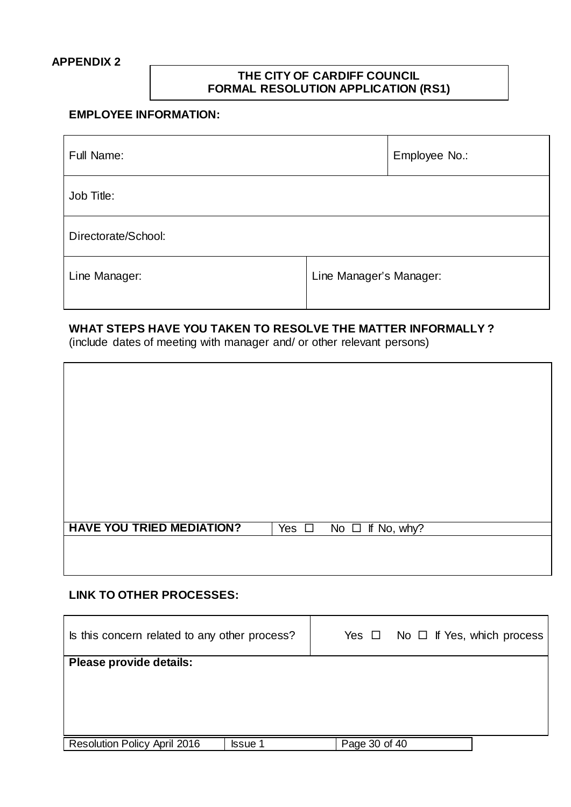#### <span id="page-29-0"></span>**APPENDIX 2**

# **THE CITY OF CARDIFF COUNCIL FORMAL RESOLUTION APPLICATION (RS1)**

# **EMPLOYEE INFORMATION:**

| Full Name:          | Employee No.:           |
|---------------------|-------------------------|
| Job Title:          |                         |
| Directorate/School: |                         |
| Line Manager:       | Line Manager's Manager: |

# **WHAT STEPS HAVE YOU TAKEN TO RESOLVE THE MATTER INFORMALLY ?**

(include dates of meeting with manager and/ or other relevant persons)

| <b>HAVE YOU TRIED MEDIATION?</b> | Yes $\Box$ No $\Box$ If No, why? |  |
|----------------------------------|----------------------------------|--|
|                                  |                                  |  |
|                                  |                                  |  |

### **LINK TO OTHER PROCESSES:**

| Is this concern related to any other process?  | Yes $\Box$ No $\Box$ If Yes, which process |
|------------------------------------------------|--------------------------------------------|
| Please provide details:                        |                                            |
|                                                |                                            |
|                                                |                                            |
|                                                |                                            |
| Resolution Policy April 2016<br><b>Issue 1</b> | Page 30 of 40                              |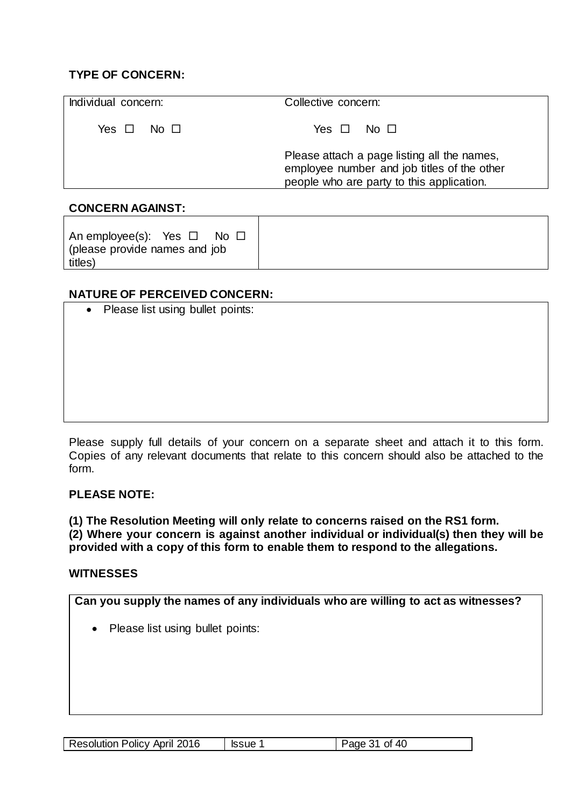# **TYPE OF CONCERN:**

| Individual concern: | Collective concern:                                                                                                                     |
|---------------------|-----------------------------------------------------------------------------------------------------------------------------------------|
| Yes ロ No ロ          | Yes $\Box$ No $\Box$                                                                                                                    |
|                     | Please attach a page listing all the names,<br>employee number and job titles of the other<br>people who are party to this application. |

# **CONCERN AGAINST:**

An employee(s): Yes  $\Box$  No  $\Box$ (please provide names and job titles)

# **NATURE OF PERCEIVED CONCERN:**

• Please list using bullet points:

Please supply full details of your concern on a separate sheet and attach it to this form. Copies of any relevant documents that relate to this concern should also be attached to the form.

# **PLEASE NOTE:**

**(1) The Resolution Meeting will only relate to concerns raised on the RS1 form. (2) Where your concern is against another individual or individual(s) then they will be provided with a copy of this form to enable them to respond to the allegations.**

#### **WITNESSES**

| Can you supply the names of any individuals who are willing to act as witnesses? |
|----------------------------------------------------------------------------------|
| Please list using bullet points:<br>$\bullet$                                    |
|                                                                                  |
|                                                                                  |
|                                                                                  |
|                                                                                  |

| <b>Resolution Policy April 2016</b><br>Page 31 of 40<br><b>Issue 1</b> |
|------------------------------------------------------------------------|
|------------------------------------------------------------------------|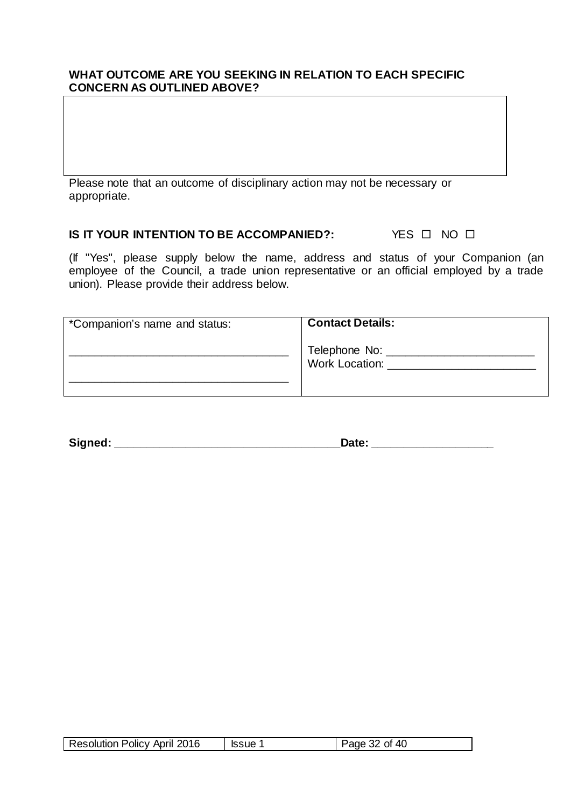#### **WHAT OUTCOME ARE YOU SEEKING IN RELATION TO EACH SPECIFIC CONCERN AS OUTLINED ABOVE?**

Please note that an outcome of disciplinary action may not be necessary or appropriate.

#### **IS IT YOUR INTENTION TO BE ACCOMPANIED?:** YES  $\Box$  NO  $\Box$

(If "Yes", please supply below the name, address and status of your Companion (an employee of the Council, a trade union representative or an official employed by a trade union). Please provide their address below.

| *Companion's name and status: | <b>Contact Details:</b>                      |
|-------------------------------|----------------------------------------------|
|                               | Telephone No: _____<br><b>Work Location:</b> |
|                               |                                              |

**Signed: \_\_\_\_\_\_\_\_\_\_\_\_\_\_\_\_\_\_\_\_\_\_\_\_\_\_\_\_\_\_\_\_\_\_\_Date: \_\_\_\_\_\_\_\_\_\_\_\_\_\_\_\_\_\_\_**

| Resolution Policy April 2016 | lssue <sup>1</sup> | Page 32 of 40 |
|------------------------------|--------------------|---------------|
|------------------------------|--------------------|---------------|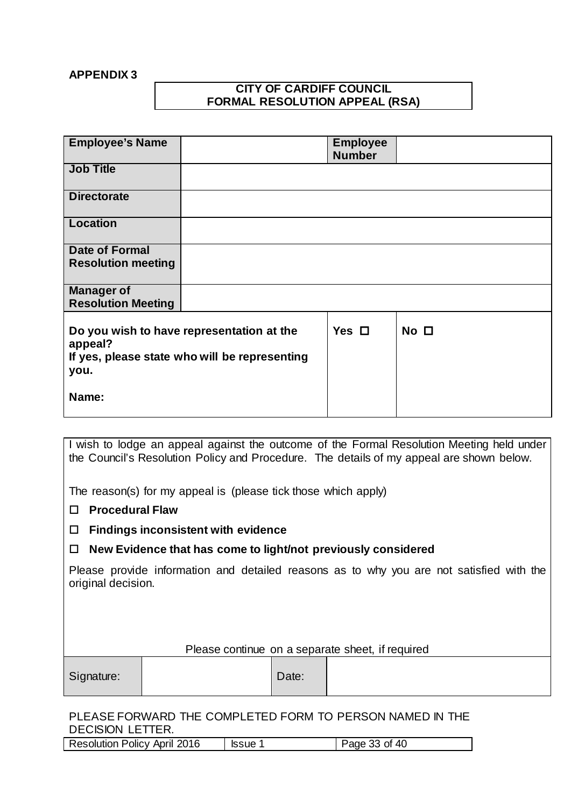#### <span id="page-32-0"></span>**APPENDIX 3**

## **CITY OF CARDIFF COUNCIL FORMAL RESOLUTION APPEAL (RSA)**

| <b>Employee's Name</b>    |                                                                                            | <b>Employee</b><br><b>Number</b> |                 |
|---------------------------|--------------------------------------------------------------------------------------------|----------------------------------|-----------------|
| <b>Job Title</b>          |                                                                                            |                                  |                 |
| <b>Directorate</b>        |                                                                                            |                                  |                 |
| <b>Location</b>           |                                                                                            |                                  |                 |
| Date of Formal            |                                                                                            |                                  |                 |
| <b>Resolution meeting</b> |                                                                                            |                                  |                 |
| <b>Manager of</b>         |                                                                                            |                                  |                 |
| <b>Resolution Meeting</b> |                                                                                            |                                  |                 |
|                           |                                                                                            |                                  |                 |
| appeal?<br>you.           | Do you wish to have representation at the<br>If yes, please state who will be representing | Yes $\Box$                       | No <sub>1</sub> |
| Name:                     |                                                                                            |                                  |                 |

I wish to lodge an appeal against the outcome of the Formal Resolution Meeting held under the Council's Resolution Policy and Procedure. The details of my appeal are shown below.

The reason(s) for my appeal is (please tick those which apply)

- **Procedural Flaw**
- **Findings inconsistent with evidence**
- **New Evidence that has come to light/not previously considered**

Please provide information and detailed reasons as to why you are not satisfied with the original decision.

| Please continue on a separate sheet, if required |  |       |  |
|--------------------------------------------------|--|-------|--|
| Signature:                                       |  | Date: |  |

# PLEASE FORWARD THE COMPLETED FORM TO PERSON NAMED IN THE DECISION LETTER.

| <b>Resolution Policy April 2016</b> | <b>Issue</b> | Page 33 of 40 |
|-------------------------------------|--------------|---------------|
|-------------------------------------|--------------|---------------|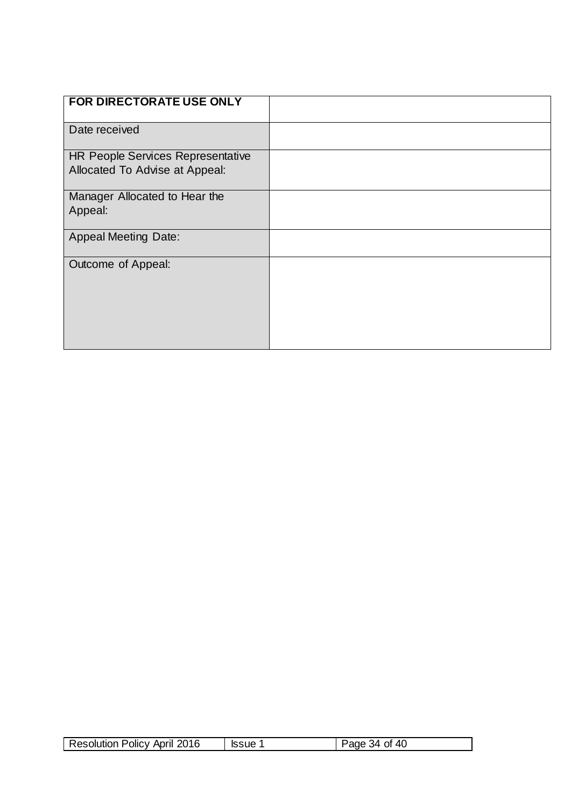| <b>FOR DIRECTORATE USE ONLY</b>                                            |  |
|----------------------------------------------------------------------------|--|
| Date received                                                              |  |
| <b>HR People Services Representative</b><br>Allocated To Advise at Appeal: |  |
| Manager Allocated to Hear the<br>Appeal:                                   |  |
| <b>Appeal Meeting Date:</b>                                                |  |
| Outcome of Appeal:                                                         |  |

| Resolution Policy April 2016 | <b>Issue</b> 1 | Page 34 of 40 |
|------------------------------|----------------|---------------|
|------------------------------|----------------|---------------|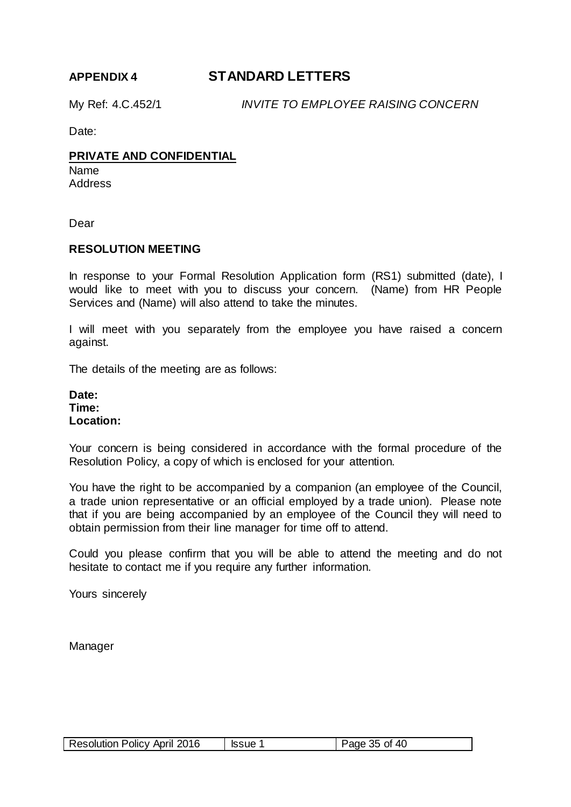# <span id="page-34-0"></span>**APPENDIX 4 STANDARD LETTERS**

My Ref: 4.C.452/1 *INVITE TO EMPLOYEE RAISING CONCERN*

Date:

#### **PRIVATE AND CONFIDENTIAL**

Name **Address** 

Dear

#### **RESOLUTION MEETING**

In response to your Formal Resolution Application form (RS1) submitted (date), I would like to meet with you to discuss your concern. (Name) from HR People Services and (Name) will also attend to take the minutes.

I will meet with you separately from the employee you have raised a concern against.

The details of the meeting are as follows:

**Date: Time: Location:**

Your concern is being considered in accordance with the formal procedure of the Resolution Policy, a copy of which is enclosed for your attention.

You have the right to be accompanied by a companion (an employee of the Council, a trade union representative or an official employed by a trade union). Please note that if you are being accompanied by an employee of the Council they will need to obtain permission from their line manager for time off to attend.

Could you please confirm that you will be able to attend the meeting and do not hesitate to contact me if you require any further information.

Yours sincerely

| Resolution Policy April 2016 | <b>Issue 1</b> | Page 35 of 40 |
|------------------------------|----------------|---------------|
|------------------------------|----------------|---------------|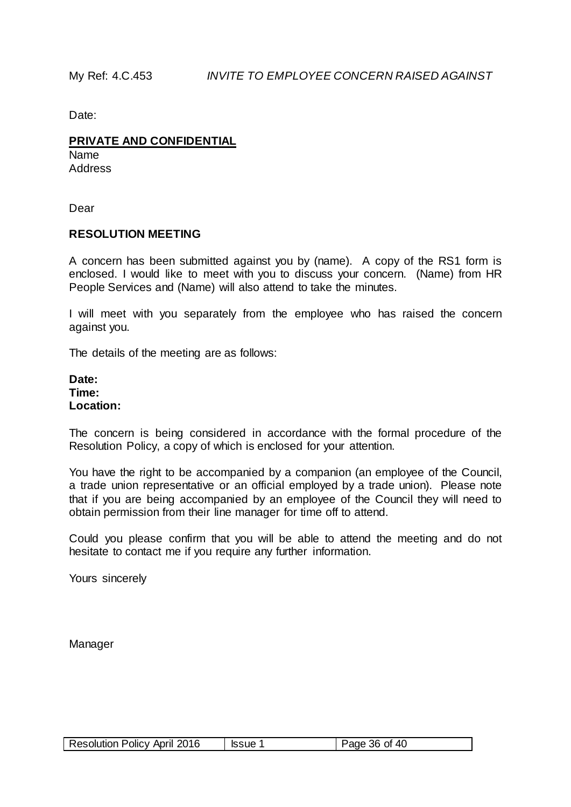#### **PRIVATE AND CONFIDENTIAL**

Name **Address** 

Dear

#### **RESOLUTION MEETING**

A concern has been submitted against you by (name). A copy of the RS1 form is enclosed. I would like to meet with you to discuss your concern. (Name) from HR People Services and (Name) will also attend to take the minutes.

I will meet with you separately from the employee who has raised the concern against you.

The details of the meeting are as follows:

**Date: Time: Location:**

The concern is being considered in accordance with the formal procedure of the Resolution Policy, a copy of which is enclosed for your attention.

You have the right to be accompanied by a companion (an employee of the Council, a trade union representative or an official employed by a trade union). Please note that if you are being accompanied by an employee of the Council they will need to obtain permission from their line manager for time off to attend.

Could you please confirm that you will be able to attend the meeting and do not hesitate to contact me if you require any further information.

Yours sincerely

| <b>Resolution Policy April 2016</b> | <b>Issue 1</b> | Page 36 of 40 |  |
|-------------------------------------|----------------|---------------|--|
|-------------------------------------|----------------|---------------|--|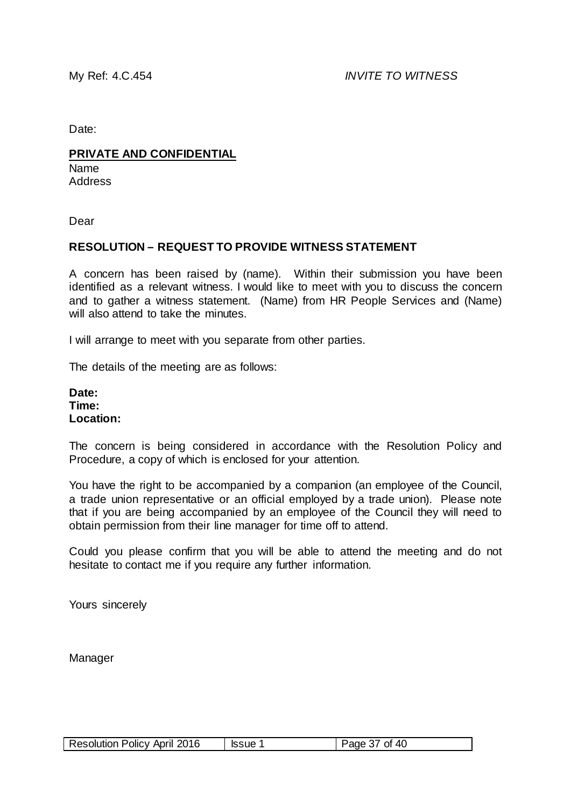#### **PRIVATE AND CONFIDENTIAL**

Name Address

Dear

#### **RESOLUTION – REQUEST TO PROVIDE WITNESS STATEMENT**

A concern has been raised by (name). Within their submission you have been identified as a relevant witness. I would like to meet with you to discuss the concern and to gather a witness statement. (Name) from HR People Services and (Name) will also attend to take the minutes.

I will arrange to meet with you separate from other parties.

The details of the meeting are as follows:

**Date: Time: Location:**

The concern is being considered in accordance with the Resolution Policy and Procedure, a copy of which is enclosed for your attention.

You have the right to be accompanied by a companion (an employee of the Council, a trade union representative or an official employed by a trade union). Please note that if you are being accompanied by an employee of the Council they will need to obtain permission from their line manager for time off to attend.

Could you please confirm that you will be able to attend the meeting and do not hesitate to contact me if you require any further information.

Yours sincerely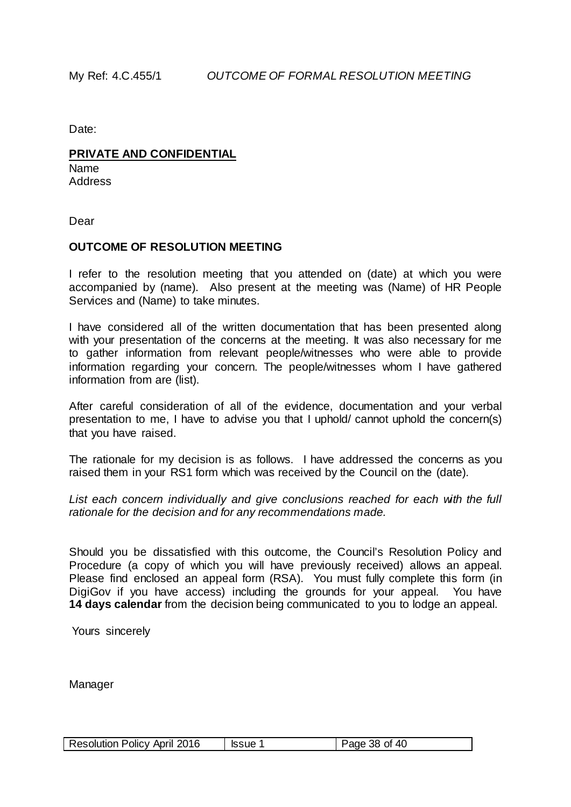#### **PRIVATE AND CONFIDENTIAL**

Name Address

Dear

#### **OUTCOME OF RESOLUTION MEETING**

I refer to the resolution meeting that you attended on (date) at which you were accompanied by (name). Also present at the meeting was (Name) of HR People Services and (Name) to take minutes.

I have considered all of the written documentation that has been presented along with your presentation of the concerns at the meeting. It was also necessary for me to gather information from relevant people/witnesses who were able to provide information regarding your concern. The people/witnesses whom I have gathered information from are (list).

After careful consideration of all of the evidence, documentation and your verbal presentation to me, I have to advise you that I uphold/ cannot uphold the concern(s) that you have raised.

The rationale for my decision is as follows. I have addressed the concerns as you raised them in your RS1 form which was received by the Council on the (date).

*List each concern individually and give conclusions reached for each with the full rationale for the decision and for any recommendations made.*

Should you be dissatisfied with this outcome, the Council's Resolution Policy and Procedure (a copy of which you will have previously received) allows an appeal. Please find enclosed an appeal form (RSA). You must fully complete this form (in DigiGov if you have access) including the grounds for your appeal. You have **14 days calendar** from the decision being communicated to you to lodge an appeal.

Yours sincerely

|  | Resolution Policy April 2016 | <b>Issue 1</b> | Page 38 of 40 |
|--|------------------------------|----------------|---------------|
|--|------------------------------|----------------|---------------|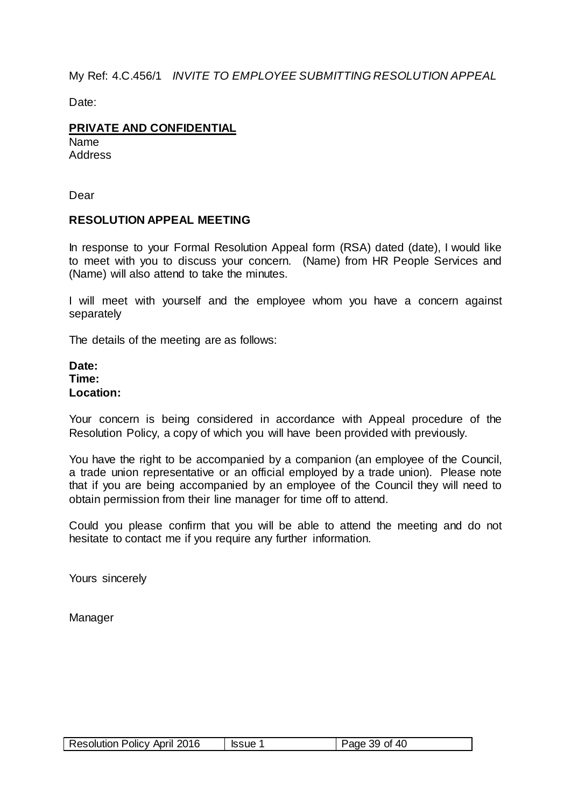My Ref: 4.C.456/1 *INVITE TO EMPLOYEE SUBMITTING RESOLUTION APPEAL* 

Date:

# **PRIVATE AND CONFIDENTIAL**

Name **Address** 

Dear

#### **RESOLUTION APPEAL MEETING**

In response to your Formal Resolution Appeal form (RSA) dated (date), I would like to meet with you to discuss your concern. (Name) from HR People Services and (Name) will also attend to take the minutes.

I will meet with yourself and the employee whom you have a concern against separately

The details of the meeting are as follows:

#### **Date: Time: Location:**

Your concern is being considered in accordance with Appeal procedure of the Resolution Policy, a copy of which you will have been provided with previously.

You have the right to be accompanied by a companion (an employee of the Council, a trade union representative or an official employed by a trade union). Please note that if you are being accompanied by an employee of the Council they will need to obtain permission from their line manager for time off to attend.

Could you please confirm that you will be able to attend the meeting and do not hesitate to contact me if you require any further information.

Yours sincerely

| <b>Resolution Policy April 2016</b> | ssue 1 | Page 39 of 40 |
|-------------------------------------|--------|---------------|
|-------------------------------------|--------|---------------|